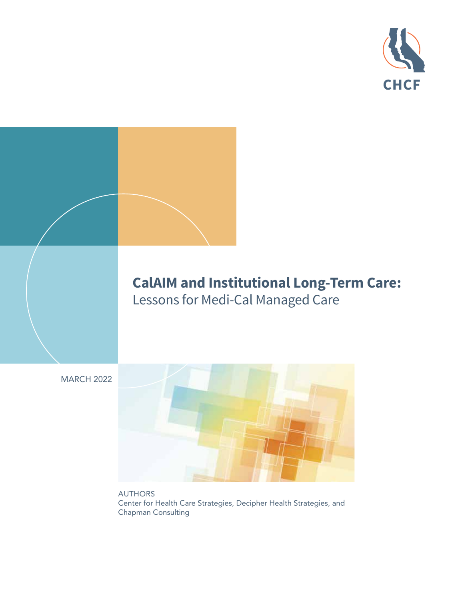

# **CalAIM and Institutional Long-Term Care:**  Lessons for Medi-Cal Managed Care

MARCH 2022



AUTHORS Center for Health Care Strategies, Decipher Health Strategies, and Chapman Consulting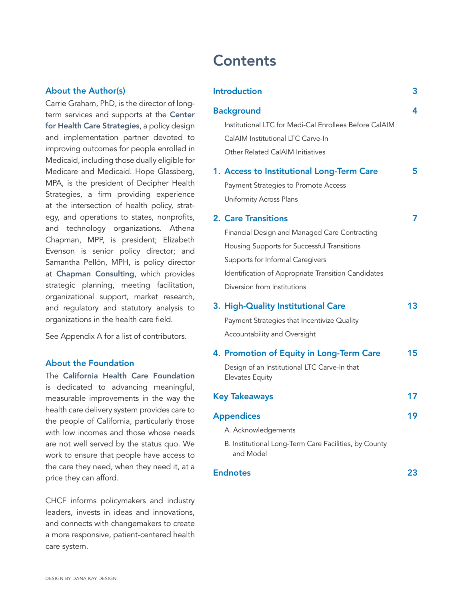#### About the Author(s)

Carrie Graham, PhD, is the director of long-term services and supports at the [Center](https://www.chcs.org) [for Health Care Strategies](https://www.chcs.org), a policy design and implementation partner devoted to improving outcomes for people enrolled in Medicaid, including those dually eligible for Medicare and Medicaid. Hope Glassberg, MPA, is the president of Decipher Health Strategies, a firm providing experience at the intersection of health policy, strategy, and operations to states, nonprofits, and technology organizations. Athena Chapman, MPP, is president; Elizabeth Evenson is senior policy director; and Samantha Pellón, MPH, is policy director at [Chapman Consulting](https://www.chapmanconsult.com), which provides strategic planning, meeting facilitation, organizational support, market research, and regulatory and statutory analysis to organizations in the health care field.

See Appendix A for a list of contributors.

#### About the Foundation

The [California Health Care Foundation](http://www.chcf.org) is dedicated to advancing meaningful, measurable improvements in the way the health care delivery system provides care to the people of California, particularly those with low incomes and those whose needs are not well served by the status quo. We work to ensure that people have access to the care they need, when they need it, at a price they can afford.

CHCF informs policymakers and industry leaders, invests in ideas and innovations, and connects with changemakers to create a more responsive, patient-centered health care system.

# [Introduction](#page-2-0) 3 [Background](#page-3-0) 4 [Institutional LTC for Medi-Cal Enrollees Before CalAIM](#page-3-0) [CalAIM Institutional LTC Carve-In](#page-4-0) [Other Related CalAIM Initiatives](#page-4-0) [1. Access to Institutional Long-Term Care](#page-4-0) 5 [Payment Strategies to Promote Access](#page-4-0) [Uniformity Across Plans](#page-5-0) 2. [Care Transitions](#page-6-0) 7 [Financial Design and Managed Care Contracting](#page-6-0)  [Housing Supports for Successful Transitions](#page-8-0) [Supports for Informal Caregivers](#page-9-0)  [Identification of Appropriate Transition Candidates](#page-9-0)  [Diversion from Institutions](#page-11-0) [3. High-Quality Institutional Care](#page-12-0) 13 [Payment Strategies that Incentivize Quality](#page-12-0) [Accountability and Oversight](#page-13-0)  [4. Promotion of Equity in Long-Term Care](#page-14-0) 15 [Design of an Institutional LTC Carve-In that](#page-15-0)  [Elevates Equity](#page-15-0) [Key Takeaways](#page-16-0) 17 Appendices and the state of the 19 [A. Acknowledgements](#page-18-0) [B. Institutional Long-Term Care Facilities, by County](#page-19-0)  [and Model](#page-19-0) [Endnotes](#page-22-0) 23

**Contents**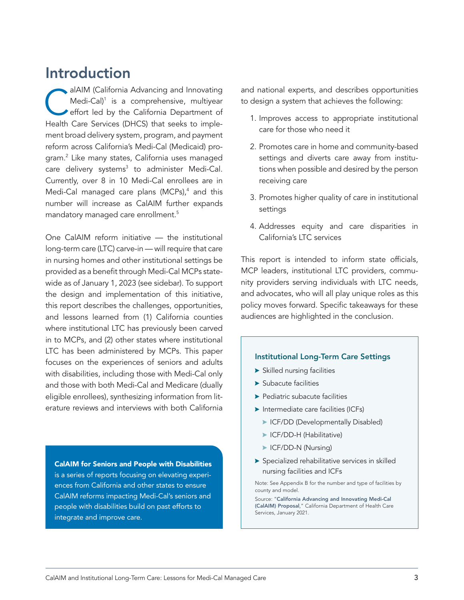# <span id="page-2-0"></span>Introduction

alAIM (California Advancing and Innovating<br>Medi-Cal)<sup>1</sup> is a comprehensive, multiyear<br>effort led by the California Department of Medi-Cal)<sup>1</sup> is a comprehensive, multiyear effort led by the California Department of Health Care Services (DHCS) that seeks to implement broad delivery system, program, and payment reform across California's Medi-Cal (Medicaid) program.2 Like many states, California uses managed care delivery systems<sup>3</sup> to administer Medi-Cal. Currently, over 8 in 10 Medi-Cal enrollees are in Medi-Cal managed care plans (MCPs), $4$  and this number will increase as CalAIM further expands mandatory managed care enrollment.5

One CalAIM reform initiative — the institutional long-term care (LTC) carve-in — will require that care in nursing homes and other institutional settings be provided as a benefit through Medi-Cal MCPs statewide as of January 1, 2023 (see sidebar). To support the design and implementation of this initiative, this report describes the challenges, opportunities, and lessons learned from (1) California counties where institutional LTC has previously been carved in to MCPs, and (2) other states where institutional LTC has been administered by MCPs. This paper focuses on the experiences of seniors and adults with disabilities, including those with Medi-Cal only and those with both Medi-Cal and Medicare (dually eligible enrollees), synthesizing information from literature reviews and interviews with both California

CalAIM for Seniors and People with Disabilities is a series of reports focusing on elevating experiences from California and other states to ensure

CalAIM reforms impacting Medi-Cal's seniors and people with disabilities build on past efforts to integrate and improve care.

and national experts, and describes opportunities to design a system that achieves the following:

- 1. Improves access to appropriate institutional care for those who need it
- 2. Promotes care in home and community-based settings and diverts care away from institutions when possible and desired by the person receiving care
- 3. Promotes higher quality of care in institutional settings
- 4. Addresses equity and care disparities in California's LTC services

This report is intended to inform state officials, MCP leaders, institutional LTC providers, community providers serving individuals with LTC needs, and advocates, who will all play unique roles as this policy moves forward. Specific takeaways for these audiences are highlighted in the conclusion.

#### Institutional Long-Term Care Settings

- $\blacktriangleright$  Skilled nursing facilities
- $\blacktriangleright$  Subacute facilities
- $\blacktriangleright$  Pediatric subacute facilities
- $\blacktriangleright$  Intermediate care facilities (ICFs)
	- **EXECUTE:** ICF/DD (Developmentally Disabled)
	- **> ICF/DD-H (Habilitative)**
	- **> ICF/DD-N (Nursing)**
- $\blacktriangleright$  Specialized rehabilitative services in skilled nursing facilities and ICFs

Note: See Appendix B for the number and type of facilities by county and model.

Source: "[California Advancing and Innovating Medi-Cal](https://www.dhcs.ca.gov/CalAIM/Pages/calaim.aspx)  [\(CalAIM\) Proposal](https://www.dhcs.ca.gov/CalAIM/Pages/calaim.aspx)," California Department of Health Care Services, January 2021.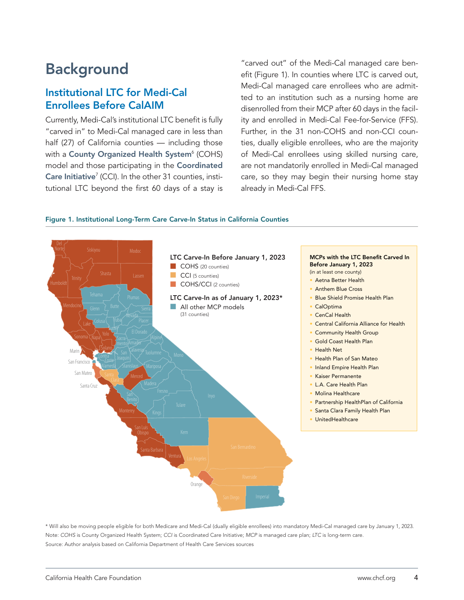# <span id="page-3-0"></span>Background

## Institutional LTC for Medi-Cal Enrollees Before CalAIM

Currently, Medi-Cal's institutional LTC benefit is fully "carved in" to Medi-Cal managed care in less than half (27) of California counties — including those with a [County Organized Health System](https://www.dhcs.ca.gov/services/Documents/MMCD/MMCDModelFactSheet.pdf)<sup>6</sup> (COHS) model and those participating in the [Coordinated](https://www.dhcs.ca.gov/provgovpart/Pages/CoordinatedCareInitiative.aspx) **[Care Initiative](https://www.dhcs.ca.gov/provgovpart/Pages/CoordinatedCareInitiative.aspx)<sup>7</sup>** (CCI). In the other 31 counties, institutional LTC beyond the first 60 days of a stay is "carved out" of the Medi-Cal managed care benefit (Figure 1). In counties where LTC is carved out, Medi-Cal managed care enrollees who are admitted to an institution such as a nursing home are disenrolled from their MCP after 60 days in the facility and enrolled in Medi-Cal Fee-for-Service (FFS). Further, in the 31 non-COHS and non-CCI counties, dually eligible enrollees, who are the majority of Medi-Cal enrollees using skilled nursing care, are not mandatorily enrolled in Medi-Cal managed care, so they may begin their nursing home stay already in Medi-Cal FFS.

#### Figure 1. Institutional Long-Term Care Carve-In Status in California Counties



\* Will also be moving people eligible for both Medicare and Medi-Cal (dually eligible enrollees) into mandatory Medi-Cal managed care by January 1, 2023. Note: *COHS* is County Organized Health System; *CCI* is Coordinated Care Initiative; *MCP* is managed care plan; *LTC* is long-term care. Source: Author analysis based on California Department of Health Care Services sources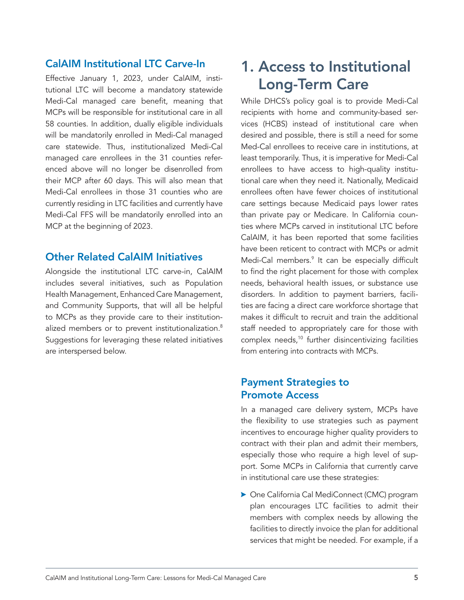## <span id="page-4-0"></span>CalAIM Institutional LTC Carve-In

Effective January 1, 2023, under CalAIM, institutional LTC will become a mandatory statewide Medi-Cal managed care benefit, meaning that MCPs will be responsible for institutional care in all 58 counties. In addition, dually eligible individuals will be mandatorily enrolled in Medi-Cal managed care statewide. Thus, institutionalized Medi-Cal managed care enrollees in the 31 counties referenced above will no longer be disenrolled from their MCP after 60 days. This will also mean that Medi-Cal enrollees in those 31 counties who are currently residing in LTC facilities and currently have Medi-Cal FFS will be mandatorily enrolled into an MCP at the beginning of 2023.

### Other Related CalAIM Initiatives

Alongside the institutional LTC carve-in, CalAIM includes several initiatives, such as Population Health Management, Enhanced Care Management, and Community Supports, that will all be helpful to MCPs as they provide care to their institutionalized members or to prevent institutionalization.<sup>8</sup> Suggestions for leveraging these related initiatives are interspersed below.

# 1. Access to Institutional Long-Term Care

While DHCS's policy goal is to provide Medi-Cal recipients with home and community-based services (HCBS) instead of institutional care when desired and possible, there is still a need for some Med-Cal enrollees to receive care in institutions, at least temporarily. Thus, it is imperative for Medi-Cal enrollees to have access to high-quality institutional care when they need it. Nationally, Medicaid enrollees often have fewer choices of institutional care settings because Medicaid pays lower rates than private pay or Medicare. In California counties where MCPs carved in institutional LTC before CalAIM, it has been reported that some facilities have been reticent to contract with MCPs or admit Medi-Cal members.<sup>9</sup> It can be especially difficult to find the right placement for those with complex needs, behavioral health issues, or substance use disorders. In addition to payment barriers, facilities are facing a direct care workforce shortage that makes it difficult to recruit and train the additional staff needed to appropriately care for those with complex needs,<sup>10</sup> further disincentivizing facilities from entering into contracts with MCPs.

## Payment Strategies to Promote Access

In a managed care delivery system, MCPs have the flexibility to use strategies such as payment incentives to encourage higher quality providers to contract with their plan and admit their members, especially those who require a high level of support. Some MCPs in California that currently carve in institutional care use these strategies:

 $\triangleright$  One California Cal MediConnect (CMC) program plan encourages LTC facilities to admit their members with complex needs by allowing the facilities to directly invoice the plan for additional services that might be needed. For example, if a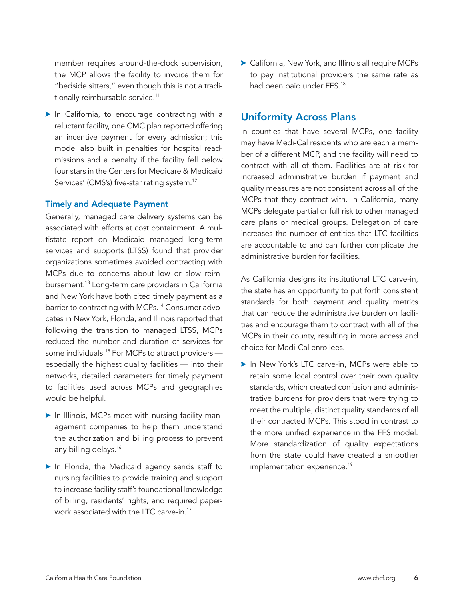<span id="page-5-0"></span>member requires around-the-clock supervision, the MCP allows the facility to invoice them for "bedside sitters," even though this is not a traditionally reimbursable service.<sup>11</sup>

 $\blacktriangleright$  In California, to encourage contracting with a reluctant facility, one CMC plan reported offering an incentive payment for every admission; this model also built in penalties for hospital readmissions and a penalty if the facility fell below four stars in the Centers for Medicare & Medicaid Services' (CMS's) five-star rating system.<sup>12</sup>

#### Timely and Adequate Payment

Generally, managed care delivery systems can be associated with efforts at cost containment. A multistate report on Medicaid managed long-term services and supports (LTSS) found that provider organizations sometimes avoided contracting with MCPs due to concerns about low or slow reimbursement.13 Long-term care providers in California and New York have both cited timely payment as a barrier to contracting with MCPs.<sup>14</sup> Consumer advocates in New York, Florida, and Illinois reported that following the transition to managed LTSS, MCPs reduced the number and duration of services for some individuals.<sup>15</sup> For MCPs to attract providers especially the highest quality facilities — into their networks, detailed parameters for timely payment to facilities used across MCPs and geographies would be helpful.

- In Illinois, MCPs meet with nursing facility management companies to help them understand the authorization and billing process to prevent any billing delays.<sup>16</sup>
- $\blacktriangleright$  In Florida, the Medicaid agency sends staff to nursing facilities to provide training and support to increase facility staff's foundational knowledge of billing, residents' rights, and required paperwork associated with the LTC carve-in.<sup>17</sup>

 $\blacktriangleright$  California, New York, and Illinois all require MCPs to pay institutional providers the same rate as had been paid under FFS.<sup>18</sup>

## Uniformity Across Plans

In counties that have several MCPs, one facility may have Medi-Cal residents who are each a member of a different MCP, and the facility will need to contract with all of them. Facilities are at risk for increased administrative burden if payment and quality measures are not consistent across all of the MCPs that they contract with. In California, many MCPs delegate partial or full risk to other managed care plans or medical groups. Delegation of care increases the number of entities that LTC facilities are accountable to and can further complicate the administrative burden for facilities.

As California designs its institutional LTC carve-in, the state has an opportunity to put forth consistent standards for both payment and quality metrics that can reduce the administrative burden on facilities and encourage them to contract with all of the MCPs in their county, resulting in more access and choice for Medi-Cal enrollees.

In New York's LTC carve-in, MCPs were able to retain some local control over their own quality standards, which created confusion and administrative burdens for providers that were trying to meet the multiple, distinct quality standards of all their contracted MCPs. This stood in contrast to the more unified experience in the FFS model. More standardization of quality expectations from the state could have created a smoother implementation experience.<sup>19</sup>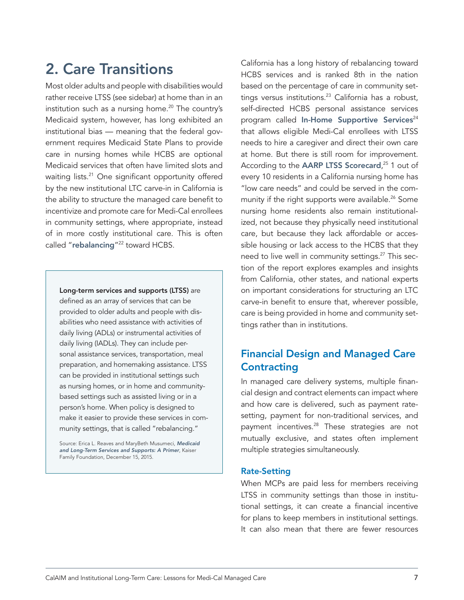# <span id="page-6-0"></span>2. Care Transitions

Most older adults and people with disabilities would rather receive LTSS (see sidebar) at home than in an institution such as a nursing home. $20$  The country's Medicaid system, however, has long exhibited an institutional bias — meaning that the federal government requires Medicaid State Plans to provide care in nursing homes while HCBS are optional Medicaid services that often have limited slots and waiting lists.<sup>21</sup> One significant opportunity offered by the new institutional LTC carve-in in California is the ability to structure the managed care benefit to incentivize and promote care for Medi-Cal enrollees in community settings, where appropriate, instead of in more costly institutional care. This is often called "[rebalancing](https://www.medicaid.gov/medicaid/long-term-services-supports/balancing-long-term-services-supports/index.html)"<sup>22</sup> toward HCBS.

Long-term services and supports (LTSS) are defined as an array of services that can be provided to older adults and people with disabilities who need assistance with activities of daily living (ADLs) or instrumental activities of daily living (IADLs). They can include personal assistance services, transportation, meal preparation, and homemaking assistance. LTSS can be provided in institutional settings such as nursing homes, or in home and communitybased settings such as assisted living or in a person's home. When policy is designed to make it easier to provide these services in community settings, that is called "rebalancing."

Source: Erica L. Reaves and MaryBeth Musumeci, *[Medicaid](https://www.kff.org/medicaid/report/medicaid-and-long-term-services-and-supports-a-primer/)  [and Long-Term Services and Supports: A Primer](https://www.kff.org/medicaid/report/medicaid-and-long-term-services-and-supports-a-primer/)*, Kaiser Family Foundation, December 15, 2015.

California has a long history of rebalancing toward HCBS services and is ranked 8th in the nation based on the percentage of care in community settings versus institutions. $23$  California has a robust, self-directed HCBS personal assistance services program called [In-Home Supportive Services](https://www.cdss.ca.gov/in-home-supportive-services)<sup>24</sup> that allows eligible Medi-Cal enrollees with LTSS needs to hire a caregiver and direct their own care at home. But there is still room for improvement. According to the [AARP LTSS Scorecard](http://www.longtermscorecard.org/databystate/state?state=CA),<sup>25</sup> 1 out of every 10 residents in a California nursing home has "low care needs" and could be served in the community if the right supports were available.<sup>26</sup> Some nursing home residents also remain institutionalized, not because they physically need institutional care, but because they lack affordable or accessible housing or lack access to the HCBS that they need to live well in community settings.<sup>27</sup> This section of the report explores examples and insights from California, other states, and national experts on important considerations for structuring an LTC carve-in benefit to ensure that, wherever possible, care is being provided in home and community settings rather than in institutions.

# Financial Design and Managed Care **Contracting**

In managed care delivery systems, multiple financial design and contract elements can impact where and how care is delivered, such as payment ratesetting, payment for non-traditional services, and payment incentives.<sup>28</sup> These strategies are not mutually exclusive, and states often implement multiple strategies simultaneously.

#### Rate-Setting

When MCPs are paid less for members receiving LTSS in community settings than those in institutional settings, it can create a financial incentive for plans to keep members in institutional settings. It can also mean that there are fewer resources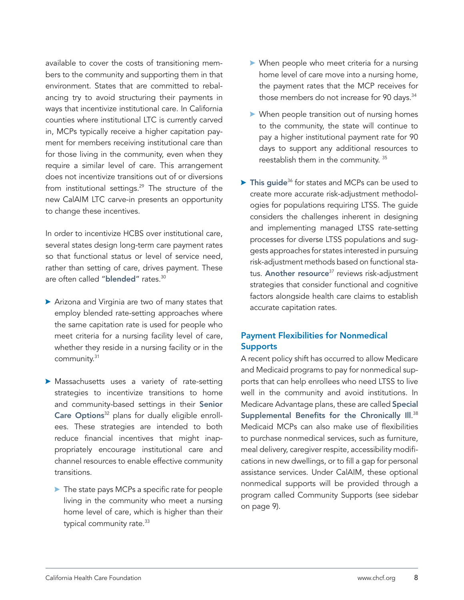available to cover the costs of transitioning members to the community and supporting them in that environment. States that are committed to rebalancing try to avoid structuring their payments in ways that incentivize institutional care. In California counties where institutional LTC is currently carved in, MCPs typically receive a higher capitation payment for members receiving institutional care than for those living in the community, even when they require a similar level of care. This arrangement does not incentivize transitions out of or diversions from institutional settings.<sup>29</sup> The structure of the new CalAIM LTC carve-in presents an opportunity to change these incentives.

In order to incentivize HCBS over institutional care, several states design long-term care payment rates so that functional status or level of service need, rather than setting of care, drives payment. These are often called "[blended](https://clpc.ucsf.edu/sites/clpc.ucsf.edu/files/reports/MLTSS%20Capitation%20to%20Promote%20HCBS%2011-17.pdf)" rates.<sup>30</sup>

- $\triangleright$  Arizona and Virginia are two of many states that employ blended rate-setting approaches where the same capitation rate is used for people who meet criteria for a nursing facility level of care, whether they reside in a nursing facility or in the community.31
- $\blacktriangleright$  Massachusetts uses a variety of rate-setting strategies to incentivize transitions to home and community-based settings in their [Senior](https://www.mass.gov/senior-care-options-sco) [Care Options](https://www.mass.gov/senior-care-options-sco)<sup>32</sup> plans for dually eligible enrollees. These strategies are intended to both reduce financial incentives that might inappropriately encourage institutional care and channel resources to enable effective community transitions.
	- $\blacktriangleright$  The state pays MCPs a specific rate for people living in the community who meet a nursing home level of care, which is higher than their typical community rate.<sup>33</sup>
- $\triangleright$  When people who meet criteria for a nursing home level of care move into a nursing home, the payment rates that the MCP receives for those members do not increase for 90 days.<sup>34</sup>
- $\blacktriangleright$  When people transition out of nursing homes to the community, the state will continue to pay a higher institutional payment rate for 90 days to support any additional resources to reestablish them in the community.<sup>35</sup>
- $\triangleright$  This quide<sup>36</sup> for states and MCPs can be used to create more accurate risk-adjustment methodologies for populations requiring LTSS. The guide considers the challenges inherent in designing and implementing managed LTSS rate-setting processes for diverse LTSS populations and suggests approaches for states interested in pursuing risk-adjustment methods based on functional sta-tus. [Another resource](https://www.chcs.org/resource/look-leap-risk-adjustment-managed-care-plans-covering-long-term-services-supports/)<sup>37</sup> reviews risk-adjustment strategies that consider functional and cognitive factors alongside health care claims to establish accurate capitation rates.

#### Payment Flexibilities for Nonmedical **Supports**

A recent policy shift has occurred to allow Medicare and Medicaid programs to pay for nonmedical supports that can help enrollees who need LTSS to live well in the community and avoid institutions. In Medicare Advantage plans, these are called [Special](https://www.cms.gov/Medicare/Health-Plans/HealthPlansGenInfo/Downloads/Supplemental_Benefits_Chronically_Ill_HPMS_042419.pdf) Supplemental Benefits for the Chronically III.<sup>38</sup> Medicaid MCPs can also make use of flexibilities to purchase nonmedical services, such as furniture, meal delivery, caregiver respite, accessibility modifications in new dwellings, or to fill a gap for personal assistance services. Under CalAIM, these optional nonmedical supports will be provided through a program called Community Supports (see sidebar on page 9).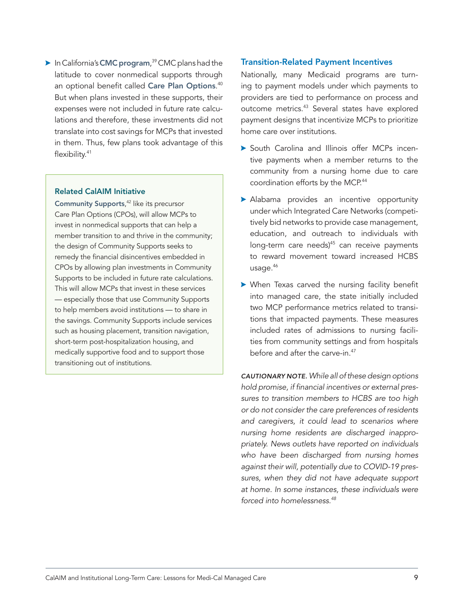<span id="page-8-0"></span> $\triangleright$  In California's [CMC program](https://www.dhcs.ca.gov/Pages/DualsDemonstration.aspx),<sup>39</sup> CMC plans had the latitude to cover nonmedical supports through an optional benefit called [Care Plan Options](https://www.cms.gov/Medicare-Medicaid-Coordination/Medicare-and-Medicaid-Coordination/Medicare-Medicaid-Coordination-Office/FinancialAlignmentInitiative/Downloads/CAContract.pdf).<sup>40</sup> But when plans invested in these supports, their expenses were not included in future rate calculations and therefore, these investments did not translate into cost savings for MCPs that invested in them. Thus, few plans took advantage of this flexibility.<sup>41</sup>

#### Related CalAIM Initiative

[Community Supports](https://www.dhcs.ca.gov/CalAIM/Documents/CalAIM-CS-a11y.pdf), 42 like its precursor Care Plan Options (CPOs), will allow MCPs to invest in nonmedical supports that can help a member transition to and thrive in the community; the design of Community Supports seeks to remedy the financial disincentives embedded in CPOs by allowing plan investments in Community Supports to be included in future rate calculations. This will allow MCPs that invest in these services — especially those that use Community Supports to help members avoid institutions — to share in the savings. Community Supports include services such as housing placement, transition navigation, short-term post-hospitalization housing, and medically supportive food and to support those transitioning out of institutions.

#### Transition-Related Payment Incentives

Nationally, many Medicaid programs are turning to payment models under which payments to providers are tied to performance on process and outcome metrics.<sup>43</sup> Several states have explored payment designs that incentivize MCPs to prioritize home care over institutions.

- **South Carolina and Illinois offer MCPs incen**tive payments when a member returns to the community from a nursing home due to care coordination efforts by the MCP.<sup>44</sup>
- > Alabama provides an incentive opportunity under which Integrated Care Networks (competitively bid networks to provide case management, education, and outreach to individuals with long-term care needs)<sup>45</sup> can receive payments to reward movement toward increased HCBS usage. $46$
- $\triangleright$  When Texas carved the nursing facility benefit into managed care, the state initially included two MCP performance metrics related to transitions that impacted payments. These measures included rates of admissions to nursing facilities from community settings and from hospitals before and after the carve-in.47

*CAUTIONARY NOTE. While all of these design options hold promise, if financial incentives or external pressures to transition members to HCBS are too high or do not consider the care preferences of residents and caregivers, it could lead to scenarios where nursing home residents are discharged inappropriately. News outlets have reported on individuals who have been discharged from nursing homes against their will, potentially due to COVID-19 pressures, when they did not have adequate support at home. In some instances, these individuals were forced into homelessness.48*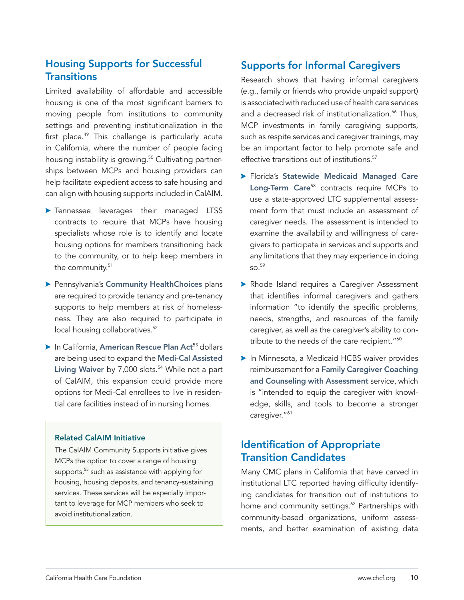# <span id="page-9-0"></span>Housing Supports for Successful **Transitions**

Limited availability of affordable and accessible housing is one of the most significant barriers to moving people from institutions to community settings and preventing institutionalization in the first place.<sup>49</sup> This challenge is particularly acute in California, where the number of people facing housing instability is growing.<sup>50</sup> Cultivating partnerships between MCPs and housing providers can help facilitate expedient access to safe housing and can align with housing supports included in CalAIM.

- **>** Tennessee leverages their managed LTSS contracts to require that MCPs have housing specialists whose role is to identify and locate housing options for members transitioning back to the community, or to help keep members in the community.<sup>51</sup>
- **> Pennsylvania's [Community HealthChoices](https://www.dhs.pa.gov/HealthChoices/HC-Services/Pages/CHC-Main.aspx) plans** are required to provide tenancy and pre-tenancy supports to help members at risk of homelessness. They are also required to participate in local housing collaboratives.<sup>52</sup>
- $\blacktriangleright$  In California, [American Rescue Plan Act](https://lao.ca.gov/Publications/Report/4469)<sup>53</sup> dollars are being used to expand the [Medi-Cal Assisted](https://www.dhcs.ca.gov/services/ltc/Pages/AssistedLivingWaiver.aspx)  [Living Waiver](https://www.dhcs.ca.gov/services/ltc/Pages/AssistedLivingWaiver.aspx) by  $7,000$  slots.<sup>54</sup> While not a part of CalAIM, this expansion could provide more options for Medi-Cal enrollees to live in residential care facilities instead of in nursing homes.

#### Related CalAIM Initiative

The CalAIM Community Supports initiative gives MCPs the option to cover a range of housing supports,<sup>55</sup> such as assistance with applying for housing, housing deposits, and tenancy-sustaining services. These services will be especially important to leverage for MCP members who seek to avoid institutionalization.

# Supports for Informal Caregivers

Research shows that having informal caregivers (e.g., family or friends who provide unpaid support) is associated with reduced use of health care services and a decreased risk of institutionalization.<sup>56</sup> Thus, MCP investments in family caregiving supports, such as respite services and caregiver trainings, may be an important factor to help promote safe and effective transitions out of institutions.<sup>57</sup>

- **> Florida's [Statewide Medicaid Managed Care](https://ahca.myflorida.com/medicaid/statewide_mc/smmc_ltc.shtml)** [Long-Term Care](https://ahca.myflorida.com/medicaid/statewide_mc/smmc_ltc.shtml)<sup>58</sup> contracts require MCPs to use a state-approved LTC supplemental assessment form that must include an assessment of caregiver needs. The assessment is intended to examine the availability and willingness of caregivers to participate in services and supports and any limitations that they may experience in doing  $59$
- Rhode Island requires a Caregiver Assessment that identifies informal caregivers and gathers information "to identify the specific problems, needs, strengths, and resources of the family caregiver, as well as the caregiver's ability to contribute to the needs of the care recipient."<sup>60</sup>
- **In Minnesota, a Medicaid HCBS waiver provides** reimbursement for a [Family Caregiver Coaching](https://www.dhs.state.mn.us/main/idcplg?IdcService=GET_DYNAMIC_CONVERSION&RevisionSelectionMethod=LatestReleased&dDocName=dhs-292755) [and Counseling with Assessment](https://www.dhs.state.mn.us/main/idcplg?IdcService=GET_DYNAMIC_CONVERSION&RevisionSelectionMethod=LatestReleased&dDocName=dhs-292755) service, which is "intended to equip the caregiver with knowledge, skills, and tools to become a stronger caregiver."<sup>61</sup>

# Identification of Appropriate Transition Candidates

Many CMC plans in California that have carved in institutional LTC reported having difficulty identifying candidates for transition out of institutions to home and community settings.<sup>62</sup> Partnerships with community-based organizations, uniform assessments, and better examination of existing data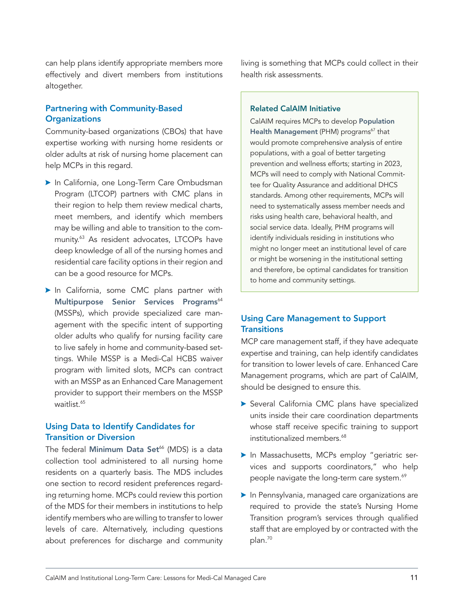can help plans identify appropriate members more effectively and divert members from institutions altogether.

#### Partnering with Community-Based **Organizations**

Community-based organizations (CBOs) that have expertise working with nursing home residents or older adults at risk of nursing home placement can help MCPs in this regard.

- **In California, one Long-Term Care Ombudsman** Program (LTCOP) partners with CMC plans in their region to help them review medical charts, meet members, and identify which members may be willing and able to transition to the community.63 As resident advocates, LTCOPs have deep knowledge of all of the nursing homes and residential care facility options in their region and can be a good resource for MCPs.
- In California, some CMC plans partner with [Multipurpose Senior Services Programs](https://www.dhcs.ca.gov/services/medi-cal/Pages/MSSPMedi-CalWaiver.aspx)<sup>64</sup> (MSSPs), which provide specialized care management with the specific intent of supporting older adults who qualify for nursing facility care to live safely in home and community-based settings. While MSSP is a Medi-Cal HCBS waiver program with limited slots, MCPs can contract with an MSSP as an Enhanced Care Management provider to support their members on the MSSP waitlist.<sup>65</sup>

#### Using Data to Identify Candidates for Transition or Diversion

The federal [Minimum Data Set](https://www.cms.gov/Medicare/Quality-Initiatives-Patient-Assessment-Instruments/NursingHomeQualityInits/NHQIMDS30)<sup>66</sup> (MDS) is a data collection tool administered to all nursing home residents on a quarterly basis. The MDS includes one section to record resident preferences regarding returning home. MCPs could review this portion of the MDS for their members in institutions to help identify members who are willing to transfer to lower levels of care. Alternatively, including questions about preferences for discharge and community living is something that MCPs could collect in their health risk assessments.

#### Related CalAIM Initiative

CalAIM requires MCPs to develop P[opulation](https://www.dhcs.ca.gov/CalAIM/Documents/CalAIM-PH-a11y.pdf)  [Health Management](https://www.dhcs.ca.gov/CalAIM/Documents/CalAIM-PH-a11y.pdf) (PHM) programs $67$  that would promote comprehensive analysis of entire populations, with a goal of better targeting prevention and wellness efforts; starting in 2023, MCPs will need to comply with National Committee for Quality Assurance and additional DHCS standards. Among other requirements, MCPs will need to systematically assess member needs and risks using health care, behavioral health, and social service data. Ideally, PHM programs will identify individuals residing in institutions who might no longer meet an institutional level of care or might be worsening in the institutional setting and therefore, be optimal candidates for transition to home and community settings.

#### Using Care Management to Support **Transitions**

MCP care management staff, if they have adequate expertise and training, can help identify candidates for transition to lower levels of care. Enhanced Care Management programs, which are part of CalAIM, should be designed to ensure this.

- Several California CMC plans have specialized units inside their care coordination departments whose staff receive specific training to support institutionalized members.<sup>68</sup>
- In Massachusetts, MCPs employ "geriatric services and supports coordinators," who help people navigate the long-term care system.<sup>69</sup>
- In Pennsylvania, managed care organizations are required to provide the state's Nursing Home Transition program's services through qualified staff that are employed by or contracted with the plan.<sup>70</sup>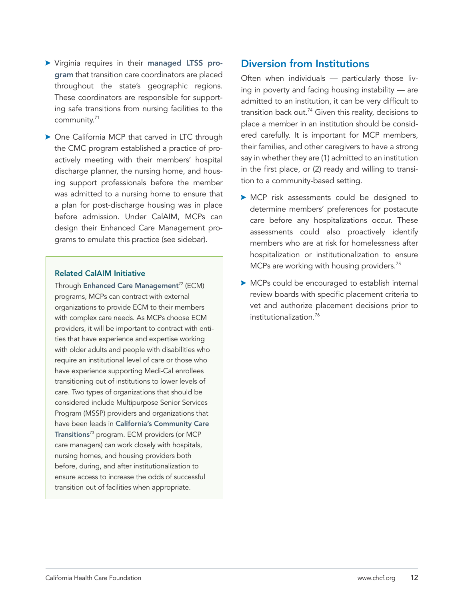- <span id="page-11-0"></span>> Virginia requires in their [managed LTSS pro](https://www.dmas.virginia.gov/for-members/managed-care-programs/ccc-plus/)[gram](https://www.dmas.virginia.gov/for-members/managed-care-programs/ccc-plus/) that transition care coordinators are placed throughout the state's geographic regions. These coordinators are responsible for supporting safe transitions from nursing facilities to the community.71
- $\triangleright$  One California MCP that carved in LTC through the CMC program established a practice of proactively meeting with their members' hospital discharge planner, the nursing home, and housing support professionals before the member was admitted to a nursing home to ensure that a plan for post-discharge housing was in place before admission. Under CalAIM, MCPs can design their Enhanced Care Management programs to emulate this practice (see sidebar).

#### Related CalAIM Initiative

Through [Enhanced Care Management](https://www.dhcs.ca.gov/Pages/ECMandILOS.aspx)<sup>72</sup> (ECM) programs, MCPs can contract with external organizations to provide ECM to their members with complex care needs. As MCPs choose ECM providers, it will be important to contract with entities that have experience and expertise working with older adults and people with disabilities who require an institutional level of care or those who have experience supporting Medi-Cal enrollees transitioning out of institutions to lower levels of care. Two types of organizations that should be considered include Multipurpose Senior Services Program (MSSP) providers and organizations that have been leads in [California's Community Care](https://www.dhcs.ca.gov/services/ltc/Pages/CCT.aspx)  [Transitions](https://www.dhcs.ca.gov/services/ltc/Pages/CCT.aspx)<sup>73</sup> program. ECM providers (or MCP care managers) can work closely with hospitals, nursing homes, and housing providers both before, during, and after institutionalization to ensure access to increase the odds of successful transition out of facilities when appropriate.

## Diversion from Institutions

Often when individuals — particularly those living in poverty and facing housing instability — are admitted to an institution, it can be very difficult to transition back out.<sup>74</sup> Given this reality, decisions to place a member in an institution should be considered carefully. It is important for MCP members, their families, and other caregivers to have a strong say in whether they are (1) admitted to an institution in the first place, or (2) ready and willing to transition to a community-based setting.

- **>** MCP risk assessments could be designed to determine members' preferences for postacute care before any hospitalizations occur. These assessments could also proactively identify members who are at risk for homelessness after hospitalization or institutionalization to ensure MCPs are working with housing providers.<sup>75</sup>
- $\triangleright$  MCPs could be encouraged to establish internal review boards with specific placement criteria to vet and authorize placement decisions prior to institutionalization.76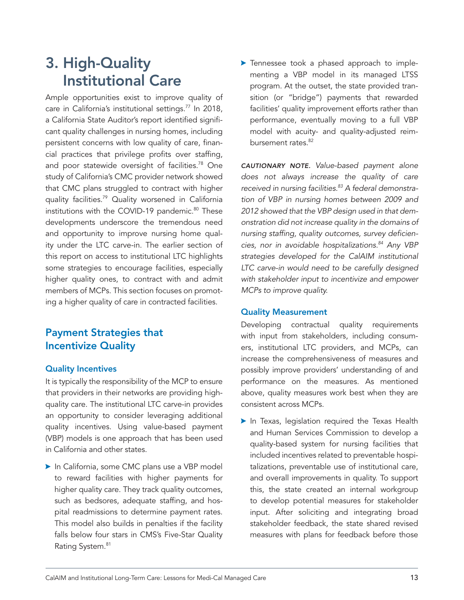# <span id="page-12-0"></span>3. High-Quality Institutional Care

Ample opportunities exist to improve quality of care in California's institutional settings.<sup>77</sup> In 2018, a California State Auditor's report identified significant quality challenges in nursing homes, including persistent concerns with low quality of care, financial practices that privilege profits over staffing, and poor statewide oversight of facilities.<sup>78</sup> One study of California's CMC provider network showed that CMC plans struggled to contract with higher quality facilities.<sup>79</sup> Quality worsened in California institutions with the COVID-19 pandemic.<sup>80</sup> These developments underscore the tremendous need and opportunity to improve nursing home quality under the LTC carve-in. The earlier section of this report on access to institutional LTC highlights some strategies to encourage facilities, especially higher quality ones, to contract with and admit members of MCPs. This section focuses on promoting a higher quality of care in contracted facilities.

# Payment Strategies that Incentivize Quality

#### Quality Incentives

It is typically the responsibility of the MCP to ensure that providers in their networks are providing highquality care. The institutional LTC carve-in provides an opportunity to consider leveraging additional quality incentives. Using value-based payment (VBP) models is one approach that has been used in California and other states.

In California, some CMC plans use a VBP model to reward facilities with higher payments for higher quality care. They track quality outcomes, such as bedsores, adequate staffing, and hospital readmissions to determine payment rates. This model also builds in penalties if the facility falls below four stars in CMS's Five-Star Quality Rating System.<sup>81</sup>

> Tennessee took a phased approach to implementing a VBP model in its managed LTSS program. At the outset, the state provided transition (or "bridge") payments that rewarded facilities' quality improvement efforts rather than performance, eventually moving to a full VBP model with acuity- and quality-adjusted reimbursement rates.<sup>82</sup>

*CAUTIONARY NOTE. Value-based payment alone does not always increase the quality of care*  received in nursing facilities.<sup>83</sup> A federal demonstra*tion of VBP in nursing homes between 2009 and 2012 showed that the VBP design used in that demonstration did not increase quality in the domains of nursing staffing, quality outcomes, survey deficiencies, nor in avoidable hospitalizations.84 Any VBP strategies developed for the CalAIM institutional LTC carve-in would need to be carefully designed with stakeholder input to incentivize and empower MCPs to improve quality.* 

#### Quality Measurement

Developing contractual quality requirements with input from stakeholders, including consumers, institutional LTC providers, and MCPs, can increase the comprehensiveness of measures and possibly improve providers' understanding of and performance on the measures. As mentioned above, quality measures work best when they are consistent across MCPs.

 $\blacktriangleright$  In Texas, legislation required the Texas Health and Human Services Commission to develop a quality-based system for nursing facilities that included incentives related to preventable hospitalizations, preventable use of institutional care, and overall improvements in quality. To support this, the state created an internal workgroup to develop potential measures for stakeholder input. After soliciting and integrating broad stakeholder feedback, the state shared revised measures with plans for feedback before those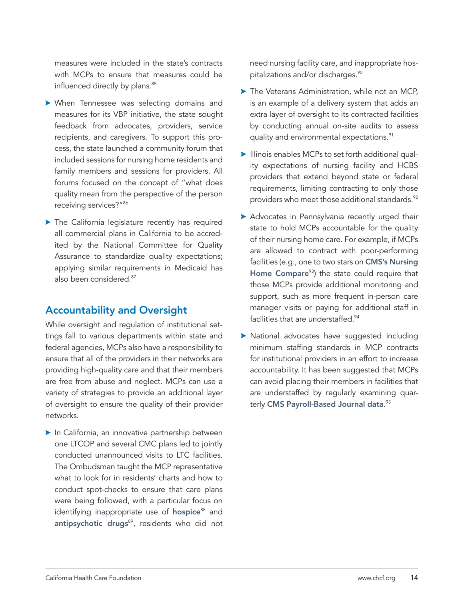<span id="page-13-0"></span>measures were included in the state's contracts with MCPs to ensure that measures could be influenced directly by plans.<sup>85</sup>

- **> When Tennessee was selecting domains and** measures for its VBP initiative, the state sought feedback from advocates, providers, service recipients, and caregivers. To support this process, the state launched a community forum that included sessions for nursing home residents and family members and sessions for providers. All forums focused on the concept of "what does quality mean from the perspective of the person receiving services?"86
- $\blacktriangleright$  The California legislature recently has required all commercial plans in California to be accredited by the National Committee for Quality Assurance to standardize quality expectations; applying similar requirements in Medicaid has also been considered.<sup>87</sup>

## Accountability and Oversight

While oversight and regulation of institutional settings fall to various departments within state and federal agencies, MCPs also have a responsibility to ensure that all of the providers in their networks are providing high-quality care and that their members are free from abuse and neglect. MCPs can use a variety of strategies to provide an additional layer of oversight to ensure the quality of their provider networks.

 $\blacktriangleright$  In California, an innovative partnership between one LTCOP and several CMC plans led to jointly conducted unannounced visits to LTC facilities. The Ombudsman taught the MCP representative what to look for in residents' charts and how to conduct spot-checks to ensure that care plans were being followed, with a particular focus on identifying inappropriate use of [hospice](https://www.gao.gov/assets/gao-20-10.pdf)<sup>88</sup> and [antipsychotic drugs](https://www.aarp.org/health/conditions-treatments/info-2017/nursing-homes-antipsychotic-drugs-fd.html)<sup>89</sup>, residents who did not need nursing facility care, and inappropriate hospitalizations and/or discharges.<sup>90</sup>

- $\blacktriangleright$  The Veterans Administration, while not an MCP, is an example of a delivery system that adds an extra layer of oversight to its contracted facilities by conducting annual on-site audits to assess quality and environmental expectations.<sup>91</sup>
- Illinois enables MCPs to set forth additional quality expectations of nursing facility and HCBS providers that extend beyond state or federal requirements, limiting contracting to only those providers who meet those additional standards.<sup>92</sup>
- > Advocates in Pennsylvania recently urged their state to hold MCPs accountable for the quality of their nursing home care. For example, if MCPs are allowed to contract with poor-performing facilities (e.g., one to two stars on CMS's Nursing [Home Compare](https://www.medicare.gov/care-compare/?providerType=NursingHome&redirect=true) $93$ ) the state could require that those MCPs provide additional monitoring and support, such as more frequent in-person care manager visits or paying for additional staff in facilities that are understaffed.<sup>94</sup>
- $\triangleright$  National advocates have suggested including minimum staffing standards in MCP contracts for institutional providers in an effort to increase accountability. It has been suggested that MCPs can avoid placing their members in facilities that are understaffed by regularly examining quarterly **[CMS Payroll-Based Journal data](https://www.cms.gov/Medicare/Quality-Initiatives-Patient-Assessment-Instruments/NursingHomeQualityInits/Staffing-Data-Submission-PBJ)**.<sup>95</sup>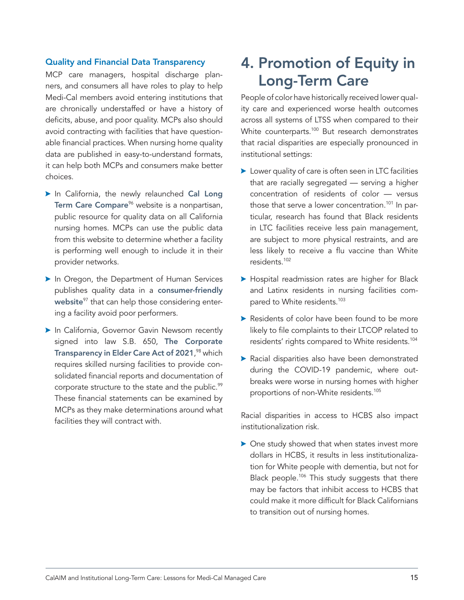#### <span id="page-14-0"></span>Quality and Financial Data Transparency

MCP care managers, hospital discharge planners, and consumers all have roles to play to help Medi-Cal members avoid entering institutions that are chronically understaffed or have a history of deficits, abuse, and poor quality. MCPs also should avoid contracting with facilities that have questionable financial practices. When nursing home quality data are published in easy-to-understand formats, it can help both MCPs and consumers make better choices.

- In California, the newly relaunched [Cal Long](https://callongtermcarecompare.org/) [Term Care Compare](https://callongtermcarecompare.org/)<sup>%</sup> website is a nonpartisan, public resource for quality data on all California nursing homes. MCPs can use the public data from this website to determine whether a facility is performing well enough to include it in their provider networks.
- In Oregon, the Department of Human Services publishes quality data in a [consumer-friendly](https://ltclicensing.oregon.gov/Facilities) [website](https://ltclicensing.oregon.gov/Facilities)<sup>97</sup> that can help those considering entering a facility avoid poor performers.
- In California, Governor Gavin Newsom recently signed into law S.B. 650, [The Corporate](https://leginfo.legislature.ca.gov/faces/billTextClient.xhtml?bill_id=202120220SB650) [Transparency in Elder Care Act of 2021](https://leginfo.legislature.ca.gov/faces/billTextClient.xhtml?bill_id=202120220SB650), 98 which requires skilled nursing facilities to provide consolidated financial reports and documentation of corporate structure to the state and the public.<sup>99</sup> These financial statements can be examined by MCPs as they make determinations around what facilities they will contract with.

# 4. Promotion of Equity in Long-Term Care

People of color have historically received lower quality care and experienced worse health outcomes across all systems of LTSS when compared to their White counterparts.<sup>100</sup> But research demonstrates that racial disparities are especially pronounced in institutional settings:

- $\blacktriangleright$  Lower quality of care is often seen in LTC facilities that are racially segregated — serving a higher concentration of residents of color — versus those that serve a lower concentration.<sup>101</sup> In particular, research has found that Black residents in LTC facilities receive less pain management, are subject to more physical restraints, and are less likely to receive a flu vaccine than White residents.102
- **> Hospital readmission rates are higher for Black** and Latinx residents in nursing facilities compared to White residents.<sup>103</sup>
- $\blacktriangleright$  Residents of color have been found to be more likely to file complaints to their LTCOP related to residents' rights compared to White residents.104
- **>** Racial disparities also have been demonstrated during the COVID-19 pandemic, where outbreaks were worse in nursing homes with higher proportions of non-White residents.<sup>105</sup>

Racial disparities in access to HCBS also impact institutionalization risk.

 $\triangleright$  One study showed that when states invest more dollars in HCBS, it results in less institutionalization for White people with dementia, but not for Black people.<sup>106</sup> This study suggests that there may be factors that inhibit access to HCBS that could make it more difficult for Black Californians to transition out of nursing homes.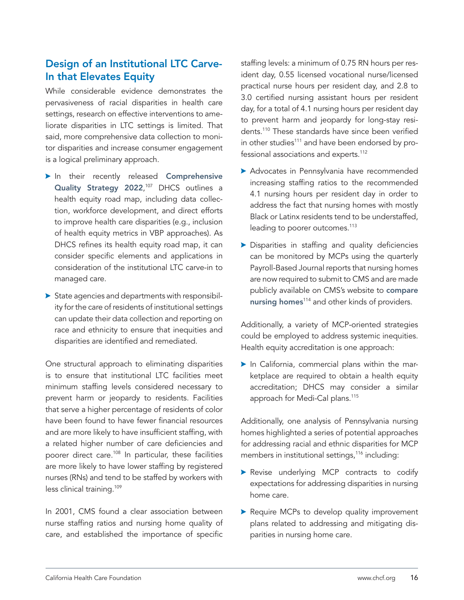# <span id="page-15-0"></span>Design of an Institutional LTC Carve-In that Elevates Equity

While considerable evidence demonstrates the pervasiveness of racial disparities in health care settings, research on effective interventions to ameliorate disparities in LTC settings is limited. That said, more comprehensive data collection to monitor disparities and increase consumer engagement is a logical preliminary approach.

- In their recently released [Comprehensive](https://www.dhcs.ca.gov/services/Documents/DHCS-Comprehensive-Quality-Strategy-2022.pdf) [Quality Strategy 2022](https://www.dhcs.ca.gov/services/Documents/DHCS-Comprehensive-Quality-Strategy-2022.pdf),<sup>107</sup> DHCS outlines a health equity road map, including data collection, workforce development, and direct efforts to improve health care disparities (e.g., inclusion of health equity metrics in VBP approaches). As DHCS refines its health equity road map, it can consider specific elements and applications in consideration of the institutional LTC carve-in to managed care.
- $\triangleright$  State agencies and departments with responsibility for the care of residents of institutional settings can update their data collection and reporting on race and ethnicity to ensure that inequities and disparities are identified and remediated.

One structural approach to eliminating disparities is to ensure that institutional LTC facilities meet minimum staffing levels considered necessary to prevent harm or jeopardy to residents. Facilities that serve a higher percentage of residents of color have been found to have fewer financial resources and are more likely to have insufficient staffing, with a related higher number of care deficiencies and poorer direct care.<sup>108</sup> In particular, these facilities are more likely to have lower staffing by registered nurses (RNs) and tend to be staffed by workers with less clinical training.<sup>109</sup>

In 2001, CMS found a clear association between nurse staffing ratios and nursing home quality of care, and established the importance of specific staffing levels: a minimum of 0.75 RN hours per resident day, 0.55 licensed vocational nurse/licensed practical nurse hours per resident day, and 2.8 to 3.0 certified nursing assistant hours per resident day, for a total of 4.1 nursing hours per resident day to prevent harm and jeopardy for long-stay residents.110 These standards have since been verified in other studies<sup>111</sup> and have been endorsed by professional associations and experts.<sup>112</sup>

- **>** Advocates in Pennsylvania have recommended increasing staffing ratios to the recommended 4.1 nursing hours per resident day in order to address the fact that nursing homes with mostly Black or Latinx residents tend to be understaffed, leading to poorer outcomes.<sup>113</sup>
- $\triangleright$  Disparities in staffing and quality deficiencies can be monitored by MCPs using the quarterly Payroll-Based Journal reports that nursing homes are now required to submit to CMS and are made publicly available on CMS's website to [compare](https://www.medicare.gov/care-compare/?providerType=NursingHome&redirect=true?) [nursing homes](https://www.medicare.gov/care-compare/?providerType=NursingHome&redirect=true?)<sup>114</sup> and other kinds of providers.

Additionally, a variety of MCP-oriented strategies could be employed to address systemic inequities. Health equity accreditation is one approach:

 $\blacktriangleright$  In California, commercial plans within the marketplace are required to obtain a health equity accreditation; DHCS may consider a similar approach for Medi-Cal plans.<sup>115</sup>

Additionally, one analysis of Pennsylvania nursing homes highlighted a series of potential approaches for addressing racial and ethnic disparities for MCP members in institutional settings,<sup>116</sup> including:

- Revise underlying MCP contracts to codify expectations for addressing disparities in nursing home care.
- Require MCPs to develop quality improvement plans related to addressing and mitigating disparities in nursing home care.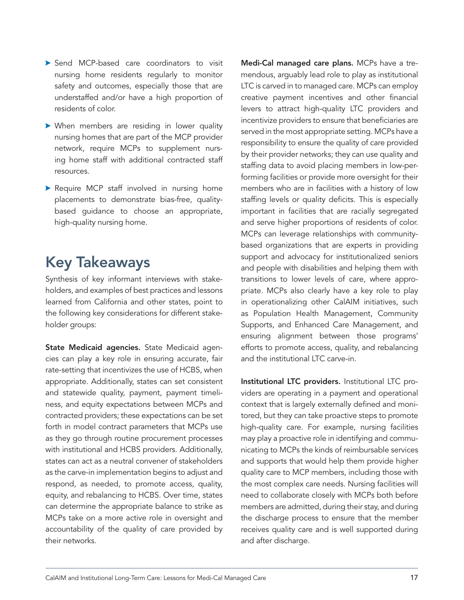- <span id="page-16-0"></span>Send MCP-based care coordinators to visit nursing home residents regularly to monitor safety and outcomes, especially those that are understaffed and/or have a high proportion of residents of color.
- $\triangleright$  When members are residing in lower quality nursing homes that are part of the MCP provider network, require MCPs to supplement nursing home staff with additional contracted staff resources.
- **>** Require MCP staff involved in nursing home placements to demonstrate bias-free, qualitybased guidance to choose an appropriate, high-quality nursing home.

# Key Takeaways

Synthesis of key informant interviews with stakeholders, and examples of best practices and lessons learned from California and other states, point to the following key considerations for different stakeholder groups:

State Medicaid agencies. State Medicaid agencies can play a key role in ensuring accurate, fair rate-setting that incentivizes the use of HCBS, when appropriate. Additionally, states can set consistent and statewide quality, payment, payment timeliness, and equity expectations between MCPs and contracted providers; these expectations can be set forth in model contract parameters that MCPs use as they go through routine procurement processes with institutional and HCBS providers. Additionally, states can act as a neutral convener of stakeholders as the carve-in implementation begins to adjust and respond, as needed, to promote access, quality, equity, and rebalancing to HCBS. Over time, states can determine the appropriate balance to strike as MCPs take on a more active role in oversight and accountability of the quality of care provided by their networks.

Medi-Cal managed care plans. MCPs have a tremendous, arguably lead role to play as institutional LTC is carved in to managed care. MCPs can employ creative payment incentives and other financial levers to attract high-quality LTC providers and incentivize providers to ensure that beneficiaries are served in the most appropriate setting. MCPs have a responsibility to ensure the quality of care provided by their provider networks; they can use quality and staffing data to avoid placing members in low-performing facilities or provide more oversight for their members who are in facilities with a history of low staffing levels or quality deficits. This is especially important in facilities that are racially segregated and serve higher proportions of residents of color. MCPs can leverage relationships with communitybased organizations that are experts in providing support and advocacy for institutionalized seniors and people with disabilities and helping them with transitions to lower levels of care, where appropriate. MCPs also clearly have a key role to play in operationalizing other CalAIM initiatives, such as Population Health Management, Community Supports, and Enhanced Care Management, and ensuring alignment between those programs' efforts to promote access, quality, and rebalancing and the institutional LTC carve-in.

Institutional LTC providers. Institutional LTC providers are operating in a payment and operational context that is largely externally defined and monitored, but they can take proactive steps to promote high-quality care. For example, nursing facilities may play a proactive role in identifying and communicating to MCPs the kinds of reimbursable services and supports that would help them provide higher quality care to MCP members, including those with the most complex care needs. Nursing facilities will need to collaborate closely with MCPs both before members are admitted, during their stay, and during the discharge process to ensure that the member receives quality care and is well supported during and after discharge.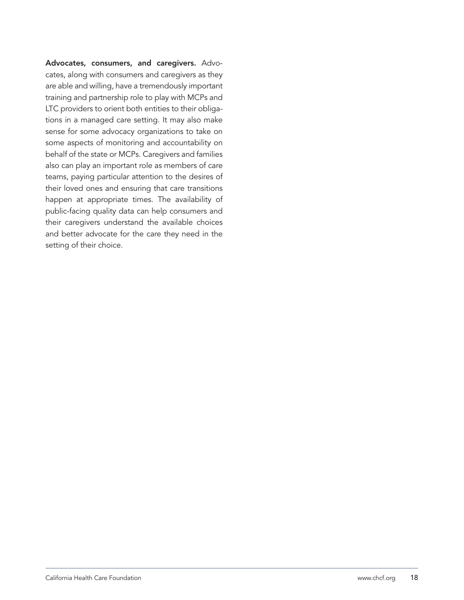Advocates, consumers, and caregivers. Advocates, along with consumers and caregivers as they are able and willing, have a tremendously important training and partnership role to play with MCPs and LTC providers to orient both entities to their obligations in a managed care setting. It may also make sense for some advocacy organizations to take on some aspects of monitoring and accountability on behalf of the state or MCPs. Caregivers and families also can play an important role as members of care teams, paying particular attention to the desires of their loved ones and ensuring that care transitions happen at appropriate times. The availability of public-facing quality data can help consumers and their caregivers understand the available choices and better advocate for the care they need in the setting of their choice.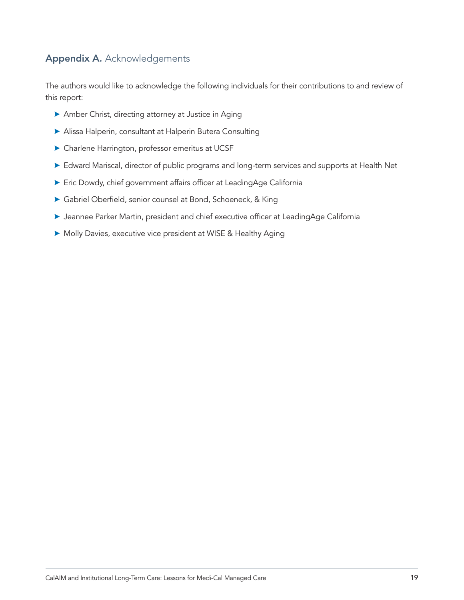## <span id="page-18-0"></span>Appendix A. Acknowledgements

The authors would like to acknowledge the following individuals for their contributions to and review of this report:

- $\blacktriangleright$  Amber Christ, directing attorney at Justice in Aging
- \$ Alissa Halperin, consultant at Halperin Butera Consulting
- $\blacktriangleright$  Charlene Harrington, professor emeritus at UCSF
- $\triangleright$  Edward Mariscal, director of public programs and long-term services and supports at Health Net
- ▶ Eric Dowdy, chief government affairs officer at LeadingAge California
- **>** Gabriel Oberfield, senior counsel at Bond, Schoeneck, & King
- **> Jeannee Parker Martin, president and chief executive officer at LeadingAge California**
- $\triangleright$  Molly Davies, executive vice president at WISE & Healthy Aging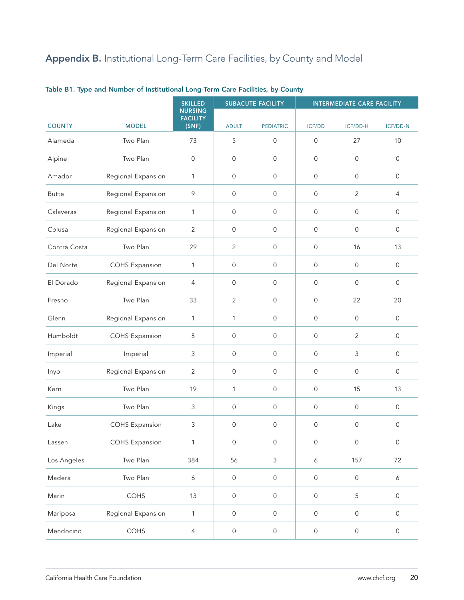# <span id="page-19-0"></span>Appendix B. Institutional Long-Term Care Facilities, by County and Model

|               |                       | <b>SKILLED</b><br><b>NURSING</b> |                     | <b>SUBACUTE FACILITY</b> | <b>INTERMEDIATE CARE FACILITY</b> |                |                     |  |
|---------------|-----------------------|----------------------------------|---------------------|--------------------------|-----------------------------------|----------------|---------------------|--|
|               |                       | <b>FACILITY</b>                  |                     |                          |                                   |                |                     |  |
| <b>COUNTY</b> | <b>MODEL</b>          | (SNF)                            | <b>ADULT</b>        | <b>PEDIATRIC</b>         | ICF/DD                            | ICF/DD-H       | ICF/DD-N            |  |
| Alameda       | Two Plan              | 73                               | 5                   | $\mathsf{O}\xspace$      | $\mathsf{O}\xspace$               | 27             | 10                  |  |
| Alpine        | Two Plan              | $\mathsf{O}\xspace$              | $\mathsf{O}\xspace$ | $\mathsf{O}\xspace$      | 0                                 | $\mathsf{O}$   | $\mathsf{O}\xspace$ |  |
| Amador        | Regional Expansion    | $\mathbf{1}$                     | $\mathsf{O}\xspace$ | $\mathsf{O}\xspace$      | 0                                 | $\mathsf{O}$   | $\mathsf{O}$        |  |
| <b>Butte</b>  | Regional Expansion    | $\mathcal{P}$                    | 0                   | $\mathsf{O}\xspace$      | $\mathsf{O}\xspace$               | $\sqrt{2}$     | 4                   |  |
| Calaveras     | Regional Expansion    | $\mathbf{1}$                     | $\mathsf{O}$        | $\mathsf{O}\xspace$      | $\mathsf{O}$                      | $\mathsf{O}$   | $\mathsf{O}$        |  |
| Colusa        | Regional Expansion    | $\overline{2}$                   | 0                   | $\mathsf{O}\xspace$      | $\mathsf{O}$                      | $\mathsf{O}$   | $\mathsf{O}\xspace$ |  |
| Contra Costa  | Two Plan              | 29                               | $\overline{2}$      | $\mathsf{O}$             | $\mathsf{O}$                      | 16             | 13                  |  |
| Del Norte     | <b>COHS Expansion</b> | $\mathbf{1}$                     | $\mathsf{O}\xspace$ | $\mathsf{O}$             | 0                                 | $\mathsf{O}$   | $\mathsf{O}$        |  |
| El Dorado     | Regional Expansion    | $\overline{4}$                   | $\mathsf{O}\xspace$ | $\mathsf{O}$             | $\mathsf{O}$                      | $\mathsf{O}$   | $\mathsf{O}\xspace$ |  |
| Fresno        | Two Plan              | 33                               | $\overline{2}$      | $\mathsf{O}$             | $\mathsf{O}$                      | 22             | 20                  |  |
| Glenn         | Regional Expansion    | $\mathbf{1}$                     | $\mathbf{1}$        | $\mathbf{O}$             | $\mathsf{O}$                      | $\mathsf{O}$   | $\mathsf{O}\xspace$ |  |
| Humboldt      | <b>COHS Expansion</b> | 5                                | $\mathsf{O}\xspace$ | $\mathbf{O}$             | 0                                 | $\overline{2}$ | $\mathsf{O}$        |  |
| Imperial      | Imperial              | $\mathsf 3$                      | $\mathsf{O}\xspace$ | $\mathsf{O}$             | 0                                 | 3              | $\mathsf{O}\xspace$ |  |
| Inyo          | Regional Expansion    | 2                                | $\mathsf{O}\xspace$ | $\mathsf{O}$             | $\mathsf{O}$                      | $\mathsf{O}$   | $\mathsf{O}$        |  |
| Kern          | Two Plan              | 19                               | $\mathbf{1}$        | $\mathsf{O}\xspace$      | $\mathsf{O}$                      | 15             | 13                  |  |
| Kings         | Two Plan              | 3                                | $\mathsf{O}\xspace$ | $\mathsf{O}\xspace$      | $\mathsf{O}$                      | $\mathsf{O}$   | $\mathsf{O}$        |  |
| Lake          | <b>COHS Expansion</b> | 3                                | $\mathbf 0$         | $\mathsf{O}$             | 0                                 | 0              | $\mathsf{O}$        |  |
| Lassen        | <b>COHS Expansion</b> | $\mathbf{1}$                     | $\mathsf{O}$        | $\mathsf{O}\xspace$      | $\mathsf{O}$                      | $\mathsf{O}$   | $\mathsf{O}\xspace$ |  |
| Los Angeles   | Two Plan              | 384                              | 56                  | $\mathsf{3}$             | $\boldsymbol{6}$                  | 157            | 72                  |  |
| Madera        | Two Plan              | $\boldsymbol{6}$                 | $\mathsf{O}$        | $\mathsf{O}\xspace$      | $\mathsf{O}\xspace$               | $\mathsf{O}$   | $\boldsymbol{6}$    |  |
| Marin         | COHS                  | 13                               | $\mathsf{O}$        | $\mathsf{O}\xspace$      | $\mathsf{O}\xspace$               | 5              | $\mathsf{O}\xspace$ |  |
| Mariposa      | Regional Expansion    | $\mathbf{1}$                     | $\mathsf{O}$        | $\mathsf{O}\xspace$      | $\mathsf{O}$                      | $\mathsf{O}$   | $\mathsf{O}\xspace$ |  |
| Mendocino     | COHS                  | $\overline{4}$                   | $\mathsf O$         | $\mathsf{O}\xspace$      | $\mathsf{O}\xspace$               | $\mathsf{O}$   | $\mathsf{O}\xspace$ |  |

Table B1. Type and Number of Institutional Long-Term Care Facilities, by County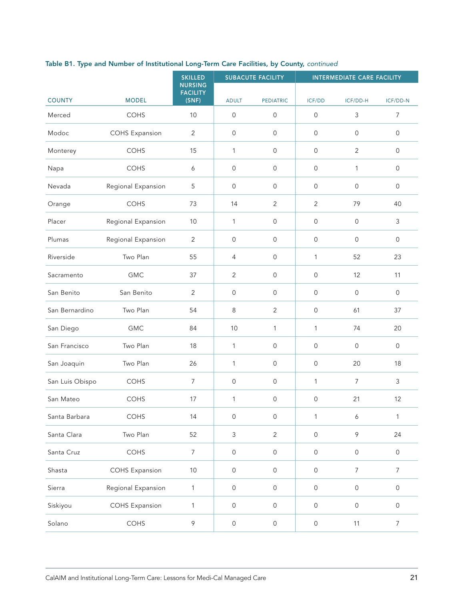|                 |                       | <b>SKILLED</b>  | <b>SUBACUTE FACILITY</b><br><b>NURSING</b> |                     | <b>INTERMEDIATE CARE FACILITY</b> |                  |                     |  |
|-----------------|-----------------------|-----------------|--------------------------------------------|---------------------|-----------------------------------|------------------|---------------------|--|
|                 |                       | <b>FACILITY</b> |                                            |                     |                                   |                  |                     |  |
| <b>COUNTY</b>   | <b>MODEL</b>          | (SNF)           | <b>ADULT</b>                               | <b>PEDIATRIC</b>    | ICF/DD                            | ICF/DD-H         | ICF/DD-N            |  |
| Merced          | COHS                  | 10              | $\mathsf{O}$                               | $\mathsf{O}$        | 0                                 | $\mathsf 3$      | 7                   |  |
| Modoc           | <b>COHS Expansion</b> | $\overline{2}$  | $\mathsf{O}$                               | $\mathsf{O}$        | 0                                 | $\mathsf{O}$     | $\mathsf{O}$        |  |
| Monterey        | COHS                  | 15              | 1                                          | $\mathsf{O}$        | 0                                 | $\sqrt{2}$       | $\mathsf{O}\xspace$ |  |
| Napa            | COHS                  | 6               | $\mathsf{O}$                               | $\mathsf{O}$        | 0                                 | 1                | $\mathsf{O}\xspace$ |  |
| Nevada          | Regional Expansion    | 5               | $\mathbf 0$                                | $\mathsf{O}\xspace$ | $\mathsf{O}\xspace$               | $\mathsf{O}$     | $\mathsf{O}$        |  |
| Orange          | COHS                  | 73              | 14                                         | $\overline{2}$      | $\overline{2}$                    | 79               | 40                  |  |
| Placer          | Regional Expansion    | 10              | 1                                          | $\mathsf{O}$        | 0                                 | $\mathsf{O}$     | $\mathfrak{Z}$      |  |
| Plumas          | Regional Expansion    | 2               | $\mathsf{O}$                               | $\mathsf{O}$        | 0                                 | $\mathsf{O}$     | $\mathsf{O}$        |  |
| Riverside       | Two Plan              | 55              | 4                                          | $\mathsf{O}$        | 1                                 | 52               | 23                  |  |
| Sacramento      | <b>GMC</b>            | 37              | $\overline{2}$                             | $\mathsf{O}\xspace$ | 0                                 | 12               | 11                  |  |
| San Benito      | San Benito            | $\overline{2}$  | $\mathsf{O}$                               | $\mathsf{O}$        | 0                                 | $\mathsf{O}$     | $\mathsf{O}$        |  |
| San Bernardino  | Two Plan              | 54              | 8                                          | $\overline{2}$      | 0                                 | 61               | 37                  |  |
| San Diego       | <b>GMC</b>            | 84              | 10                                         | 1                   | $\mathbf{1}$                      | 74               | 20                  |  |
| San Francisco   | Two Plan              | 18              | 1                                          | $\mathsf{O}$        | 0                                 | $\mathsf{O}$     | $\mathsf{O}$        |  |
| San Joaquin     | Two Plan              | 26              | 1                                          | $\mathsf{O}\xspace$ | 0                                 | 20               | 18                  |  |
| San Luis Obispo | <b>COHS</b>           | $\overline{7}$  | $\mathsf{O}$                               | $\mathsf{O}\xspace$ | 1                                 | $\overline{7}$   | 3                   |  |
| San Mateo       | <b>COHS</b>           | 17              | 1                                          | $\mathsf{O}$        | 0                                 | 21               | 12                  |  |
| Santa Barbara   | COHS                  | 14              | $\mathsf{O}$                               | $\mathsf{O}$        | $\mathbf 1$                       | 6                | $\mathbf{1}$        |  |
| Santa Clara     | Two Plan              | 52              | 3                                          | $\overline{2}$      | $\mathsf{O}$                      | $\,9$            | 24                  |  |
| Santa Cruz      | COHS                  | $\overline{7}$  | $\mathsf{O}$                               | $\mathsf{O}\xspace$ | $\mathsf{O}\xspace$               | $\mathsf{O}$     | $\mathsf{O}$        |  |
| Shasta          | <b>COHS Expansion</b> | $10$            | $\mathsf{O}\xspace$                        | $\mathsf{O}\xspace$ | $\mathsf{O}\xspace$               | $\boldsymbol{7}$ | $\overline{7}$      |  |
| Sierra          | Regional Expansion    | $\mathbf{1}$    | $\mathsf{O}$                               | $\mathsf{O}\xspace$ | $\mathsf O$                       | $\mathsf{O}$     | $\mathsf{O}$        |  |
| Siskiyou        | <b>COHS Expansion</b> | $\mathbf{1}$    | $\mathsf{O}$                               | $\mathsf{O}\xspace$ | $\mathsf O$                       | $\mathsf{O}$     | $\mathsf{O}$        |  |
| Solano          | COHS                  | 9               | $\mathsf{O}$                               | $\mathsf{O}\xspace$ | $\mathsf{O}\xspace$               | $11$             | $\overline{7}$      |  |

#### Table B1. Type and Number of Institutional Long-Term Care Facilities, by County, *continued*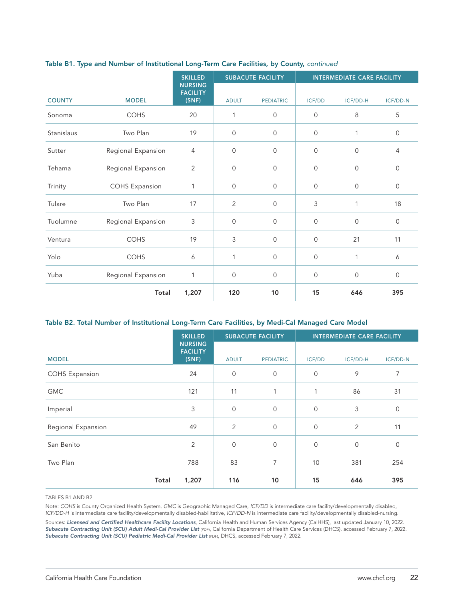|               |                       | <b>SKILLED</b>                             | <b>SUBACUTE FACILITY</b> |                  | <b>INTERMEDIATE CARE FACILITY</b> |             |                |
|---------------|-----------------------|--------------------------------------------|--------------------------|------------------|-----------------------------------|-------------|----------------|
| <b>COUNTY</b> | <b>MODEL</b>          | <b>NURSING</b><br><b>FACILITY</b><br>(SNF) | <b>ADULT</b>             | <b>PEDIATRIC</b> | <b>ICF/DD</b>                     | ICF/DD-H    | ICF/DD-N       |
| Sonoma        | <b>COHS</b>           | 20                                         | 1                        | $\mathbf{0}$     | 0                                 | 8           | 5              |
| Stanislaus    | Two Plan              | 19                                         | $\mathbf 0$              | $\mathbf{0}$     | 0                                 | 1           | $\overline{0}$ |
| Sutter        | Regional Expansion    | 4                                          | $\mathbf 0$              | $\mathbf{0}$     | 0                                 | $\mathbf 0$ | 4              |
| Tehama        | Regional Expansion    | $\overline{2}$                             | $\mathbf 0$              | $\mathbf{0}$     | 0                                 | $\mathbf 0$ | $\mathbf 0$    |
| Trinity       | <b>COHS Expansion</b> | 1                                          | $\mathbf 0$              | $\mathbf{0}$     | 0                                 | $\mathbf 0$ | 0              |
| Tulare        | Two Plan              | 17                                         | $\overline{2}$           | $\mathbf{0}$     | 3                                 | 1           | 18             |
| Tuolumne      | Regional Expansion    | 3                                          | $\mathbf 0$              | $\mathbf{O}$     | 0                                 | $\mathbf 0$ | $\mathbf 0$    |
| Ventura       | <b>COHS</b>           | 19                                         | 3                        | $\mathbf{0}$     | 0                                 | 21          | 11             |
| Yolo          | <b>COHS</b>           | 6                                          | 1                        | $\mathbf{O}$     | 0                                 | 1           | 6              |
| Yuba          | Regional Expansion    | 1                                          | $\mathbf 0$              | $\overline{0}$   | 0                                 | $\mathbf 0$ | $\overline{0}$ |
|               | Total                 | 1,207                                      | 120                      | 10               | 15                                | 646         | 395            |

#### Table B1. Type and Number of Institutional Long-Term Care Facilities, by County, *continued*

#### Table B2. Total Number of Institutional Long-Term Care Facilities, by Medi-Cal Managed Care Model

|                       | <b>SKILLED</b>                             | <b>SUBACUTE FACILITY</b> |                  | <b>INTERMEDIATE CARE FACILITY</b> |             |              |
|-----------------------|--------------------------------------------|--------------------------|------------------|-----------------------------------|-------------|--------------|
| <b>MODEL</b>          | <b>NURSING</b><br><b>FACILITY</b><br>(SNF) | <b>ADULT</b>             | <b>PEDIATRIC</b> | ICF/DD                            | ICF/DD-H    | ICF/DD-N     |
| <b>COHS Expansion</b> | 24                                         | $\mathbf 0$              | $\mathbf 0$      | 0                                 | 9           | 7            |
| <b>GMC</b>            | 121                                        | 11                       | 1                | $\mathbf{1}$                      | 86          | 31           |
| Imperial              | 3                                          | $\overline{0}$           | $\mathbf 0$      | $\mathsf{O}\xspace$               | 3           | $\mathsf{O}$ |
| Regional Expansion    | 49                                         | 2                        | $\mathbf 0$      | $\mathbf 0$                       | 2           | 11           |
| San Benito            | 2                                          | $\mathbf 0$              | $\mathbf 0$      | $\mathsf{O}\xspace$               | $\mathbf 0$ | $\mathsf{O}$ |
| Two Plan              | 788                                        | 83                       | 7                | 10                                | 381         | 254          |
| Total                 | 1,207                                      | 116                      | 10               | 15                                | 646         | 395          |

TABLES B1 AND B2:

Note: *COHS* is County Organized Health System, *GMC* is Geographic Managed Care, *ICF/DD* is intermediate care facility/developmentally disabled, *ICF/DD-H* is intermediate care facility/developmentally disabled-habilitative, *ICF/DD-N* is intermediate care facility/developmentally disabled-nursing.

Sources: *[Licensed and Certified Healthcare Facility Locations](https://data.chhs.ca.gov/dataset/healthcare-facility-locations/resource/098bbc36-044d-441f-9442-1f4db4d8aaa0)*, California Health and Human Services Agency (CalHHS), last updated January 10, 2022. [Subacute Contracting Unit \(SCU\) Adult Medi-Cal Provider List](https://www.dhcs.ca.gov/provgovpart/Documents/Adult-Subacute-Medi-Cal-Provider-List-1-14-21.pdf) (PDF), California Department of Health Care Services (DHCS), accessed February 7, 2022. [Subacute Contracting Unit \(SCU\) Pediatric Medi-Cal Provider List](https://www.dhcs.ca.gov/provgovpart/Documents/Pediatric-Subacute-Medi-Cal-Provider-List-2020.pdf) (PDF), DHCS, accessed February 7, 2022.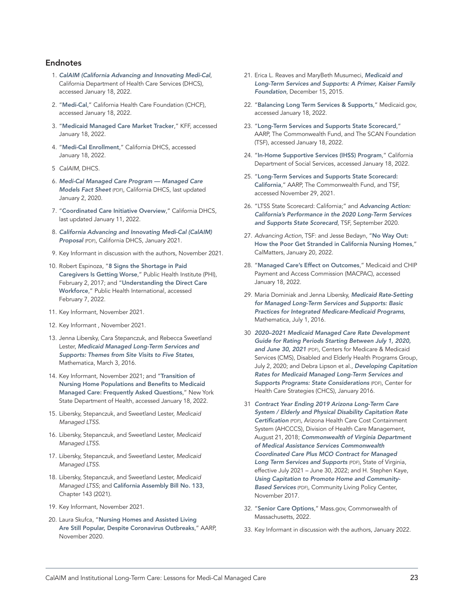#### <span id="page-22-0"></span>Endnotes

- 1. *[CalAIM \(California Advancing and Innovating Medi-Cal](https://www.dhcs.ca.gov/CalAIM/Pages/calaim.aspx)*, California Department of Health Care Services (DHCS), accessed January 18, 2022.
- 2. "[Medi-Cal](https://www.chcf.org/topic/medi-cal/)," California Health Care Foundation (CHCF), accessed January 18, 2022.
- 3. "[Medicaid Managed Care Market Tracker](https://www.kff.org/data-collection/medicaid-managed-care-market-tracker/)," KFF, accessed January 18, 2022.
- 4. "[Medi-Cal Enrollment](https://www.dhcs.ca.gov/dataandstats/Pages/Medi-Cal-Eligibility-Statistics.aspx)," California DHCS, accessed January 18, 2022.
- 5 *CalAIM*, DHCS.
- 6. *[Medi-Cal Managed Care Program Managed Care](https://www.dhcs.ca.gov/services/Documents/MMCD/MMCDModelFactSheet.pdf)  [Models Fact Sheet](https://www.dhcs.ca.gov/services/Documents/MMCD/MMCDModelFactSheet.pdf)* (PDF), California DHCS, last updated January 2, 2020.
- 7. "[Coordinated Care Initiative Overview](https://www.dhcs.ca.gov/provgovpart/Pages/CoordinatedCareInitiative.aspx)," California DHCS, last updated January 11, 2022.
- 8. *[California Advancing and Innovating Medi-Cal \(CalAIM\)](https://www.dhcs.ca.gov/provgovpart/Documents/CalAIM-Proposal-Updated-1-8-21.pdf)  [Proposal](https://www.dhcs.ca.gov/provgovpart/Documents/CalAIM-Proposal-Updated-1-8-21.pdf)* (PDF), California DHCS, January 2021.
- 9. Key Informant in discussion with the authors, November 2021.
- 10. Robert Espinoza, "8 Signs the Shortage in Paid [Caregivers Is Getting Worse](https://phinational.org/8-signs-the-shortage-in-paid-caregivers-is-getting-worse/)," Public Health Institute (PHI), February 2, 2017; and "[Understanding the Direct Care](http://phinational.org/policy-research/key-facts-faq/)  [Workforce](http://phinational.org/policy-research/key-facts-faq/)," Public Health International, accessed February 7, 2022.
- 11. Key Informant, November 2021.
- 12. Key Informant , November 2021.
- 13. Jenna Libersky, Cara Stepanczuk, and Rebecca Sweetland Lester, *[Medicaid Managed Long-Term Services and](https://www.mathematica.org/publications/medicaid-managed-long-term-services-and-supports-themes-from-site-visits-to-five-states)  [Supports: Themes from Site Visits to Five States](https://www.mathematica.org/publications/medicaid-managed-long-term-services-and-supports-themes-from-site-visits-to-five-states)*, Mathematica, March 3, 2016.
- 14. Key Informant, November 2021; and "[Transition of](https://www.health.ny.gov/health_care/medicaid/redesign/2016-jan_rev_nh_transition_faqs.htm)  [Nursing Home Populations and Benefits to Medicaid](https://www.health.ny.gov/health_care/medicaid/redesign/2016-jan_rev_nh_transition_faqs.htm)  [Managed Care: Frequently Asked Questions](https://www.health.ny.gov/health_care/medicaid/redesign/2016-jan_rev_nh_transition_faqs.htm)," New York State Department of Health, accessed January 18, 2022.
- 15. Libersky, Stepanczuk, and Sweetland Lester, *Medicaid Managed LTSS*.
- 16. Libersky, Stepanczuk, and Sweetland Lester, *Medicaid Managed LTSS*.
- 17. Libersky, Stepanczuk, and Sweetland Lester, *Medicaid Managed LTSS*.
- 18. Libersky, Stepanczuk, and Sweetland Lester, *Medicaid Managed LTSS*; and [California Assembly Bill No. 133](https://leginfo.legislature.ca.gov/faces/billNavClient.xhtml?bill_id=202120220AB133), Chapter 143 (2021).
- 19. Key Informant, November 2021.
- 20. Laura Skufca, "[Nursing Homes and Assisted Living](https://www.aarp.org/research/topics/care/info-2020/nursing-home-long-term-care-attitudes.html)  [Are Still Popular, Despite Coronavirus Outbreaks](https://www.aarp.org/research/topics/care/info-2020/nursing-home-long-term-care-attitudes.html)," AARP, November 2020.
- 21. Erica L. Reaves and MaryBeth Musumeci, *[Medicaid and](https://www.kff.org/medicaid/report/medicaid-and-long-term-services-and-supports-a-primer/)  [Long-Term Services and Supports: A Primer, Kaiser Family](https://www.kff.org/medicaid/report/medicaid-and-long-term-services-and-supports-a-primer/)  [Foundation](https://www.kff.org/medicaid/report/medicaid-and-long-term-services-and-supports-a-primer/)*, December 15, 2015.
- 22. "[Balancing Long Term Services & Supports](https://www.medicaid.gov/medicaid/long-term-services-supports/balancing-long-term-services-supports/index.html)," Medicaid.gov, accessed January 18, 2022.
- 23. "[Long-Term Services and Supports State Scorecard](http://www.longtermscorecard.org/)," AARP, The Commonwealth Fund, and The SCAN Foundation (TSF), accessed January 18, 2022.
- 24. "[In-Home Supportive Services \(IHSS\) Program](https://www.cdss.ca.gov/in-home-supportive-services)," California Department of Social Services, accessed January 18, 2022.
- 25. "[Long-Term Services and Supports State Scorecard:](http://www.longtermscorecard.org/databystate/state?state=CA)  [California](http://www.longtermscorecard.org/databystate/state?state=CA)," AARP, The Commonwealth Fund, and TSF, accessed November 29, 2021.
- 26. "LTSS State Scorecard: California;" and *[Advancing Action:](https://www.thescanfoundation.org/publications/advancing-action-californias-performance-in-the-2020-long-term-services-and-supports-state-scorecard/)  [California's Performance in the 2020 Long-Term Services](https://www.thescanfoundation.org/publications/advancing-action-californias-performance-in-the-2020-long-term-services-and-supports-state-scorecard/)  [and Supports State Scorecard](https://www.thescanfoundation.org/publications/advancing-action-californias-performance-in-the-2020-long-term-services-and-supports-state-scorecard/)*, TSF, September 2020.
- 27. *Advancing Action*, TSF: and Jesse Bedayn, "[No Way Out:](https://calmatters.org/health/2022/01/california-nursing-homes-transition/)  [How the Poor Get Stranded in California Nursing Homes](https://calmatters.org/health/2022/01/california-nursing-homes-transition/)," CalMatters, January 20, 2022.
- 28. "[Managed Care's Effect on Outcomes](https://www.macpac.gov/subtopic/managed-cares-effect-on-outcomes/)," Medicaid and CHIP Payment and Access Commission (MACPAC), accessed January 18, 2022.
- 29. Maria Dominiak and Jenna Libersky, *[Medicaid Rate-Setting](https://www.mathematica.org/publications/medicaid-ratesetting-for-managed-longterm-services-and-supports-basic-practices-for-integrated)  [for Managed Long-Term Services and Supports: Basic](https://www.mathematica.org/publications/medicaid-ratesetting-for-managed-longterm-services-and-supports-basic-practices-for-integrated)  [Practices for Integrated Medicare-Medicaid Programs](https://www.mathematica.org/publications/medicaid-ratesetting-for-managed-longterm-services-and-supports-basic-practices-for-integrated)*, Mathematica, July 1, 2016.
- 30 *[2020–2021 Medicaid Managed Care Rate Development](https://www.medicaid.gov/medicaid/managed-care/downloads/2020-2021-medicaid-rate-guide.pdf)  [Guide for Rating Periods Starting Between July 1, 2020,](https://www.medicaid.gov/medicaid/managed-care/downloads/2020-2021-medicaid-rate-guide.pdf)  [and June 30, 2021](https://www.medicaid.gov/medicaid/managed-care/downloads/2020-2021-medicaid-rate-guide.pdf)* (PDF), Centers for Medicare & Medicaid Services (CMS), Disabled and Elderly Health Programs Group, July 2, 2020; and Debra Lipson et al., *[Developing Capitation](https://www.chcs.org/media/MLTSS-Rate-Setting_Final.pdf)  [Rates for Medicaid Managed Long-Term Services and](https://www.chcs.org/media/MLTSS-Rate-Setting_Final.pdf)  [Supports Programs: State Considerations](https://www.chcs.org/media/MLTSS-Rate-Setting_Final.pdf)* (PDF), Center for Health Care Strategies (CHCS), January 2016.
- 31 *[Contract Year Ending 2019 Arizona Long-Term Care](https://www.azahcccs.gov/PlansProviders/Downloads/CapitationRates/ALTCS/ActuarialCertification2018.pdf)  [System / Elderly and Physical Disability Capitation Rate](https://www.azahcccs.gov/PlansProviders/Downloads/CapitationRates/ALTCS/ActuarialCertification2018.pdf)  [Certification](https://www.azahcccs.gov/PlansProviders/Downloads/CapitationRates/ALTCS/ActuarialCertification2018.pdf)* (PDF), Arizona Health Care Cost Containment System (AHCCCS), Division of Health Care Management, August 21, 2018; *[Commonwealth of Virginia Department](https://www.dmas.virginia.gov/media/3579/final-ccc-plus-contract-renewal-effective-july-1-2021.pdf)  [of Medical Assistance Services Commonwealth](https://www.dmas.virginia.gov/media/3579/final-ccc-plus-contract-renewal-effective-july-1-2021.pdf)  [Coordinated Care Plus MCO Contract for Managed](https://www.dmas.virginia.gov/media/3579/final-ccc-plus-contract-renewal-effective-july-1-2021.pdf)  [Long Term Services and Supports](https://www.dmas.virginia.gov/media/3579/final-ccc-plus-contract-renewal-effective-july-1-2021.pdf)* (PDF), State of Virginia, effective July 2021 – June 30, 2022; and H. Stephen Kaye, *[Using Capitation to Promote Home and Community-](https://clpc.ucsf.edu/sites/clpc.ucsf.edu/files/reports/MLTSS Capitation to Promote HCBS 11-17.pdf)[Based Services](https://clpc.ucsf.edu/sites/clpc.ucsf.edu/files/reports/MLTSS Capitation to Promote HCBS 11-17.pdf)* (PDF), Community Living Policy Center, November 2017.
- 32. "[Senior Care Options](https://www.mass.gov/senior-care-options-sco)," Mass.gov, Commonwealth of Massachusetts, 2022.
- 33. Key Informant in discussion with the authors, January 2022.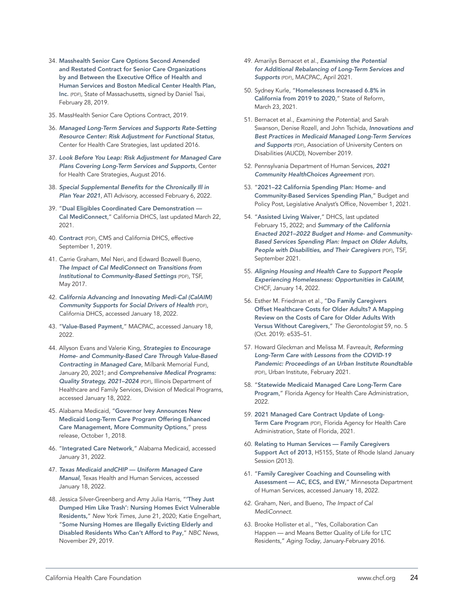- 34. [Masshealth Senior Care Options Second Amended](https://nam10.safelinks.protection.outlook.com/?url=https%3A%2F%2Fwww.mass.gov%2Fdoc%2F2nd-amended-and-restated-sco-contract-boston-medical-center-health-plan-bmchp%2Fdownload&data=04%7C01%7Ckmeyers%40chcf.org%7Cee65dd796a174859693a08d9dbac8a28%7C7169edab4433484e936cf1cd3cc84c49%7C0%7C0%7C637782356371847152%7CUnknown%7CTWFpbGZsb3d8eyJWIjoiMC4wLjAwMDAiLCJQIjoiV2luMzIiLCJBTiI6Ik1haWwiLCJXVCI6Mn0%3D%7C3000&sdata=yKHGy5NfAZGXnZxEw%2FNy8%2Bken0P7FvMsFzK6K5%2BUWy4%3D&reserved=0)  [and Restated Contract for Senior Care Organizations](https://nam10.safelinks.protection.outlook.com/?url=https%3A%2F%2Fwww.mass.gov%2Fdoc%2F2nd-amended-and-restated-sco-contract-boston-medical-center-health-plan-bmchp%2Fdownload&data=04%7C01%7Ckmeyers%40chcf.org%7Cee65dd796a174859693a08d9dbac8a28%7C7169edab4433484e936cf1cd3cc84c49%7C0%7C0%7C637782356371847152%7CUnknown%7CTWFpbGZsb3d8eyJWIjoiMC4wLjAwMDAiLCJQIjoiV2luMzIiLCJBTiI6Ik1haWwiLCJXVCI6Mn0%3D%7C3000&sdata=yKHGy5NfAZGXnZxEw%2FNy8%2Bken0P7FvMsFzK6K5%2BUWy4%3D&reserved=0)  [by and Between the Executive Office of Health and](https://nam10.safelinks.protection.outlook.com/?url=https%3A%2F%2Fwww.mass.gov%2Fdoc%2F2nd-amended-and-restated-sco-contract-boston-medical-center-health-plan-bmchp%2Fdownload&data=04%7C01%7Ckmeyers%40chcf.org%7Cee65dd796a174859693a08d9dbac8a28%7C7169edab4433484e936cf1cd3cc84c49%7C0%7C0%7C637782356371847152%7CUnknown%7CTWFpbGZsb3d8eyJWIjoiMC4wLjAwMDAiLCJQIjoiV2luMzIiLCJBTiI6Ik1haWwiLCJXVCI6Mn0%3D%7C3000&sdata=yKHGy5NfAZGXnZxEw%2FNy8%2Bken0P7FvMsFzK6K5%2BUWy4%3D&reserved=0)  [Human Services and Boston Medical Center Health Plan,](https://nam10.safelinks.protection.outlook.com/?url=https%3A%2F%2Fwww.mass.gov%2Fdoc%2F2nd-amended-and-restated-sco-contract-boston-medical-center-health-plan-bmchp%2Fdownload&data=04%7C01%7Ckmeyers%40chcf.org%7Cee65dd796a174859693a08d9dbac8a28%7C7169edab4433484e936cf1cd3cc84c49%7C0%7C0%7C637782356371847152%7CUnknown%7CTWFpbGZsb3d8eyJWIjoiMC4wLjAwMDAiLCJQIjoiV2luMzIiLCJBTiI6Ik1haWwiLCJXVCI6Mn0%3D%7C3000&sdata=yKHGy5NfAZGXnZxEw%2FNy8%2Bken0P7FvMsFzK6K5%2BUWy4%3D&reserved=0)  [Inc.](https://nam10.safelinks.protection.outlook.com/?url=https%3A%2F%2Fwww.mass.gov%2Fdoc%2F2nd-amended-and-restated-sco-contract-boston-medical-center-health-plan-bmchp%2Fdownload&data=04%7C01%7Ckmeyers%40chcf.org%7Cee65dd796a174859693a08d9dbac8a28%7C7169edab4433484e936cf1cd3cc84c49%7C0%7C0%7C637782356371847152%7CUnknown%7CTWFpbGZsb3d8eyJWIjoiMC4wLjAwMDAiLCJQIjoiV2luMzIiLCJBTiI6Ik1haWwiLCJXVCI6Mn0%3D%7C3000&sdata=yKHGy5NfAZGXnZxEw%2FNy8%2Bken0P7FvMsFzK6K5%2BUWy4%3D&reserved=0) (PDF), State of Massachusetts, signed by Daniel Tsai, February 28, 2019.
- 35. MassHealth Senior Care Options Contract, 2019.
- 36. *[Managed Long-Term Services and Supports Rate-Setting](https://www.chcs.org/resource/risk-adjustment-functional-status/)  [Resource Center: Risk Adjustment for Functional Status](https://www.chcs.org/resource/risk-adjustment-functional-status/)*, Center for Health Care Strategies, last updated 2016.
- 37. *[Look Before You Leap: Risk Adjustment for Managed Care](https://www.chcs.org/resource/look-leap-risk-adjustment-managed-care-plans-covering-long-term-services-supports/)  [Plans Covering Long-Term Services and Supports](https://www.chcs.org/resource/look-leap-risk-adjustment-managed-care-plans-covering-long-term-services-supports/)*, Center for Health Care Strategies, August 2016.
- 38. *[Special Supplemental Benefits for the Chronically Ill in](https://atiadvisory.com/special-supplemental-benefits-for-the-chronically-ill-in-plan-year-2021/)  [Plan Year 2021](https://atiadvisory.com/special-supplemental-benefits-for-the-chronically-ill-in-plan-year-2021/)*, ATI Advisory, accessed February 6, 2022.
- 39. "[Dual Eligibles Coordinated Care Demonstration](https://www.dhcs.ca.gov/Pages/DualsDemonstration.aspx)  [Cal MediConnect](https://www.dhcs.ca.gov/Pages/DualsDemonstration.aspx)," California DHCS, last updated March 22, 2021.
- 40. [Contract](https://www.cms.gov/Medicare-Medicaid-Coordination/Medicare-and-Medicaid-Coordination/Medicare-Medicaid-Coordination-Office/FinancialAlignmentInitiative/Downloads/CAContract.pdf) (PDF), CMS and California DHCS, effective September 1, 2019.
- 41. Carrie Graham, Mel Neri, and Edward Bozwell Bueno, *[The Impact of Cal MediConnect on Transitions from](https://www.thescanfoundation.org/sites/default/files/the_impact_of_cal_mediconnect_on_transitions_from_institutional_to_community-based_settings_may_2017.pdf)  [Institutional to Community-Based Settings](https://www.thescanfoundation.org/sites/default/files/the_impact_of_cal_mediconnect_on_transitions_from_institutional_to_community-based_settings_may_2017.pdf)* (PDF), TSF, May 2017.
- 42. *[California Advancing and Innovating Medi-Cal \(CalAIM\)](https://www.dhcs.ca.gov/CalAIM/Documents/CalAIM-CS-a11y.pdf)  [Community Supports for Social Drivers of Health](https://www.dhcs.ca.gov/CalAIM/Documents/CalAIM-CS-a11y.pdf)* (PDF), California DHCS, accessed January 18, 2022.
- 43. "[Value-Based Payment](https://www.macpac.gov/subtopic/value-based-purchasing/)," MACPAC, accessed January 18, 2022.
- 44. Allyson Evans and Valerie King, *[Strategies to Encourage](https://www.milbank.org/publications/strategies-to-encourage-home-and-community-based-care-through-value-based-contracting-in-managed-care/)  [Home- and Community-Based Care Through Value-Based](https://www.milbank.org/publications/strategies-to-encourage-home-and-community-based-care-through-value-based-contracting-in-managed-care/)  [Contracting in Managed Care](https://www.milbank.org/publications/strategies-to-encourage-home-and-community-based-care-through-value-based-contracting-in-managed-care/)*, Milbank Memorial Fund, January 20, 2021; and *[Comprehensive Medical Programs:](https://www2.illinois.gov/hfs/SiteCollectionDocuments/IL20212024ComprehensiveMedicalProgramsQualityStrategyD1.pdf)  [Quality Strategy, 2021–2024](https://www2.illinois.gov/hfs/SiteCollectionDocuments/IL20212024ComprehensiveMedicalProgramsQualityStrategyD1.pdf)* (PDF), Illinois Department of Healthcare and Family Services, Division of Medical Programs, accessed January 18, 2022.
- 45. Alabama Medicaid, "[Governor Ivey Announces New](https://medicaid.alabama.gov/news_detail.aspx?ID=12989)  [Medicaid Long-Term Care Program Offering Enhanced](https://medicaid.alabama.gov/news_detail.aspx?ID=12989)  [Care Management, More Community Options](https://medicaid.alabama.gov/news_detail.aspx?ID=12989)," press release, October 1, 2018.
- 46. "[Integrated Care Network](https://medicaid.alabama.gov/content/5.0_Managed_Care/5.2_Other_MC_Programs/5.2.4_ICNs.aspx)," Alabama Medicaid, accessed January 31, 2022.
- 47. *[Texas Medicaid andCHIP Uniform Managed Care](https://www.hhs.texas.gov/services/health/medicaid-chip/managed-care-contract-management/texas-medicaid-chip-uniform-managed-care-manual)  [Manual](https://www.hhs.texas.gov/services/health/medicaid-chip/managed-care-contract-management/texas-medicaid-chip-uniform-managed-care-manual)*, Texas Health and Human Services, accessed January 18, 2022.
- 48. Jessica Silver-Greenberg and Amy Julia Harris, "['They Just](https://www.nytimes.com/2020/06/21/business/nursing-homes-evictions-discharges-coronavirus.html)  [Dumped Him Like Trash': Nursing Homes Evict Vulnerable](https://www.nytimes.com/2020/06/21/business/nursing-homes-evictions-discharges-coronavirus.html)  [Residents,](https://www.nytimes.com/2020/06/21/business/nursing-homes-evictions-discharges-coronavirus.html)" *New York Times*, June 21, 2020; Katie Engelhart, "[Some Nursing Homes are Illegally Evicting Elderly and](https://www.nbcnews.com/news/us-news/some-nursing-homes-are-illegally-evicting-elderly-disabled-residents-who-n1087341)  [Disabled Residents Who Can't Afford to Pay](https://www.nbcnews.com/news/us-news/some-nursing-homes-are-illegally-evicting-elderly-disabled-residents-who-n1087341)," *NBC News*, November 29, 2019.
- 49. Amarilys Bernacet et al., *[Examining the Potential](https://www.macpac.gov/wp-content/uploads/2021/05/Examining-the-Potential-for-Additional-Rebalancing-of-Long-Term-Services-and-Supports.pdf)  [for Additional Rebalancing of Long-Term Services and](https://www.macpac.gov/wp-content/uploads/2021/05/Examining-the-Potential-for-Additional-Rebalancing-of-Long-Term-Services-and-Supports.pdf)  [Supports](https://www.macpac.gov/wp-content/uploads/2021/05/Examining-the-Potential-for-Additional-Rebalancing-of-Long-Term-Services-and-Supports.pdf)* (PDF), MACPAC, April 2021.
- 50. Sydney Kurle, "[Homelessness Increased 6.8% in](https://stateofreform.com/featured/2021/03/homelessness-increased-6-8-in-california-from-2019-to-2020/#:~:text=According%20to%20a%20report%20released,state%20in%20that%20time%20frame.)  [California from 2019 to 2020](https://stateofreform.com/featured/2021/03/homelessness-increased-6-8-in-california-from-2019-to-2020/#:~:text=According%20to%20a%20report%20released,state%20in%20that%20time%20frame.)," State of Reform, March 23, 2021.
- 51. Bernacet et al., *Examining the Potential*; and Sarah Swanson, Denise Rozell, and John Tschida, *[Innovations and](https://www.aucd.org/docs/publications/2019_1101_mltss_full.pdf)  [Best Practices in Medicaid Managed Long-Term Services](https://www.aucd.org/docs/publications/2019_1101_mltss_full.pdf)  [and Supports](https://www.aucd.org/docs/publications/2019_1101_mltss_full.pdf)* (PDF), Association of University Centers on Disabilities (AUCD), November 2019.
- 52. Pennsylvania Department of Human Services, *[2021](https://www.dhs.pa.gov/HealthChoices/HC-Providers/Documents/2021 CHC AGREEMENT.pdf)  [Community HealthChoices Agreement](https://www.dhs.pa.gov/HealthChoices/HC-Providers/Documents/2021 CHC AGREEMENT.pdf)* (PDF).
- 53. "[2021–22 California Spending Plan: Home- and](https://lao.ca.gov/Publications/Report/4469)  [Community-Based Services Spending Plan](https://lao.ca.gov/Publications/Report/4469)," Budget and Policy Post, Legislative Analyst's Office, November 1, 2021.
- 54. "[Assisted Living Waiver](https://www.dhcs.ca.gov/services/ltc/Pages/AssistedLivingWaiver.aspx)," DHCS, last updated February 15, 2022; and *[Summary of the California](https://www.thescanfoundation.org/publications/summary-of-the-california-enacted-2021-22-budget-and-home-and-community-based-services-spending-plan-impact-on-older-adults-people-with-disabilities-and-their-caregivers/)  [Enacted 2021–2022 Budget and Home- and Community-](https://www.thescanfoundation.org/publications/summary-of-the-california-enacted-2021-22-budget-and-home-and-community-based-services-spending-plan-impact-on-older-adults-people-with-disabilities-and-their-caregivers/)[Based Services Spending Plan: Impact on Older Adults,](https://www.thescanfoundation.org/publications/summary-of-the-california-enacted-2021-22-budget-and-home-and-community-based-services-spending-plan-impact-on-older-adults-people-with-disabilities-and-their-caregivers/)  [People with Disabilities, and Their Caregivers](https://www.thescanfoundation.org/publications/summary-of-the-california-enacted-2021-22-budget-and-home-and-community-based-services-spending-plan-impact-on-older-adults-people-with-disabilities-and-their-caregivers/)* (PDF), TSF, September 2021.
- 55. *[Aligning Housing and Health Care to Support People](https://www.chcf.org/project/aligning-housing-and-health-care-people-experiencing-homelessness/)  [Experiencing Homelessness: Opportunities in CalAIM](https://www.chcf.org/project/aligning-housing-and-health-care-people-experiencing-homelessness/)*, CHCF, January 14, 2022.
- 56. Esther M. Friedman et al., "[Do Family Caregivers](https://academic.oup.com/gerontologist/article/59/5/e535/5427472?login=true)  [Offset Healthcare Costs for Older Adults? A Mapping](https://academic.oup.com/gerontologist/article/59/5/e535/5427472?login=true)  [Review on the Costs of Care for Older Adults With](https://academic.oup.com/gerontologist/article/59/5/e535/5427472?login=true)  [Versus Without Caregivers](https://academic.oup.com/gerontologist/article/59/5/e535/5427472?login=true)," *The Gerontologist* 59, no. 5 (Oct. 2019): e535–51.
- 57. Howard Gleckman and Melissa M. Favreault, *[Reforming](https://www.urban.org/sites/default/files/publication/103758/reforming-long-term-care-with-lessons-from-the-covid-19-pandemic_0.pdf)  [Long-Term Care with Lessons from the COVID-19](https://www.urban.org/sites/default/files/publication/103758/reforming-long-term-care-with-lessons-from-the-covid-19-pandemic_0.pdf)  [Pandemic: Proceedings of an Urban Institute Roundtable](https://www.urban.org/sites/default/files/publication/103758/reforming-long-term-care-with-lessons-from-the-covid-19-pandemic_0.pdf)* (PDF), Urban Institute, February 2021.
- 58. "[Statewide Medicaid Managed Care Long-Term Care](https://ahca.myflorida.com/medicaid/statewide_mc/smmc_ltc.shtml)  [Program](https://ahca.myflorida.com/medicaid/statewide_mc/smmc_ltc.shtml)," Florida Agency for Health Care Administration, 2022.
- 59. [2021 Managed Care Contract Update of Long-](https://ahca.myflorida.com/medicaid/statewide_mc/pdf/Contracts/2021-10-01/Exhibit_II_B_LTC_2021-10-01.pdf)[Term Care Program](https://ahca.myflorida.com/medicaid/statewide_mc/pdf/Contracts/2021-10-01/Exhibit_II_B_LTC_2021-10-01.pdf) (PDF), Florida Agency for Health Care Administration, State of Florida, 2021.
- 60. [Relating to Human Services Family Caregivers](http://webserver.rilin.state.ri.us/BillText13/HouseText13/H5155A.pdf)  [Support Act of 2013](http://webserver.rilin.state.ri.us/BillText13/HouseText13/H5155A.pdf), H5155, State of Rhode Island January Session (2013).
- 61. "[Family Caregiver Coaching and Counseling with](https://www.dhs.state.mn.us/main/idcplg?IdcService=GET_DYNAMIC_CONVERSION&RevisionSelectionMethod=LatestReleased&dDocName=dhs-292755)  [Assessment — AC, ECS, and EW](https://www.dhs.state.mn.us/main/idcplg?IdcService=GET_DYNAMIC_CONVERSION&RevisionSelectionMethod=LatestReleased&dDocName=dhs-292755)," Minnesota Department of Human Services, accessed January 18, 2022.
- 62. Graham, Neri, and Bueno, *The Impact of Cal MediConnect*.
- 63. Brooke Hollister et al., "Yes, Collaboration Can Happen — and Means Better Quality of Life for LTC Residents," *Aging Today*, January-February 2016.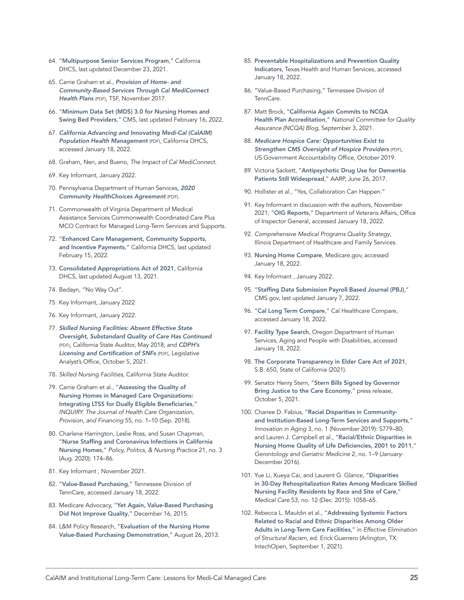- 64. "[Multipurpose Senior Services Program](https://www.dhcs.ca.gov/services/medi-cal/Pages/MSSPMedi-CalWaiver.aspx)," California DHCS, last updated December 23, 2021.
- 65. Carrie Graham et al., *[Provision of Home- and](http://www.thescanfoundation.org/sites/default/files/ucb_researchbrief_hcbs_final.pdf)  [Community-Based Services Through Cal MediConnect](http://www.thescanfoundation.org/sites/default/files/ucb_researchbrief_hcbs_final.pdf)  [Health Plans](http://www.thescanfoundation.org/sites/default/files/ucb_researchbrief_hcbs_final.pdf)* (PDF), TSF, November 2017.
- 66. "[Minimum Data Set \(MDS\) 3.0 for Nursing Homes and](https://www.cms.gov/Medicare/Quality-Initiatives-Patient-Assessment-Instruments/NursingHomeQualityInits/NHQIMDS30)  [Swing Bed Providers](https://www.cms.gov/Medicare/Quality-Initiatives-Patient-Assessment-Instruments/NursingHomeQualityInits/NHQIMDS30)," CMS, last updated February 16, 2022.
- 67. *[California Advancing and Innovating Medi-Cal \(CalAIM\)](https://www.dhcs.ca.gov/CalAIM/Documents/CalAIM-PH-a11y.pdf)  [Population Health Management](https://www.dhcs.ca.gov/CalAIM/Documents/CalAIM-PH-a11y.pdf)* (PDF), California DHCS, accessed January 18, 2022.
- 68. Graham, Neri, and Bueno, *The Impact of Cal MediConnect*.
- 69. Key Informant, January 2022.
- 70. Pennsylvania Department of Human Services, *[2020](https://www.dhs.pa.gov/HealthChoices/HC-Services/Documents/CHC-Final2020Agreement.pdf)  [Community HealthChoices Agreement](https://www.dhs.pa.gov/HealthChoices/HC-Services/Documents/CHC-Final2020Agreement.pdf)* (PDF).
- 71. Commonwealth of Virginia Department of Medical Assistance Services Commonwealth Coordinated Care Plus MCO Contract for Managed Long-Term Services and Supports.
- 72. "[Enhanced Care Management, Community Supports,](https://www.dhcs.ca.gov/Pages/ECMandILOS.aspx)  [and Incentive Payments](https://www.dhcs.ca.gov/Pages/ECMandILOS.aspx)," California DHCS, last updated February 15, 2022.
- 73. [Consolidated Appropriations Act of 2021](https://www.dhcs.ca.gov/services/ltc/Pages/CCT.aspx), California DHCS, last updated August 13, 2021.
- 74. Bedayn, "No Way Out".
- 75. Key Informant, January 2022
- 76. Key Informant, January 2022.
- 77. *[Skilled Nursing Facilities: Absent Effective State](https://www.bsa.ca.gov/pdfs/reports/2017-109.pdf)  [Oversight, Substandard Quality of Care Has Continued](https://www.bsa.ca.gov/pdfs/reports/2017-109.pdf)* (PDF), California State Auditor, May 2018; and *[CDPH's](https://lao.ca.gov/handouts/Health/2021/Licensing-and-Certification-of-SNFs-100521.pdf)  [Licensing and Certification of SNFs](https://lao.ca.gov/handouts/Health/2021/Licensing-and-Certification-of-SNFs-100521.pdf)* (PDF), Legislative Analyst's Office, October 5, 2021.
- 78. *Skilled Nursing Facilities*, California State Auditor.
- 79. Carrie Graham et al., "[Assessing the Quality of](https://journals.sagepub.com/doi/full/10.1177/0046958018800090)  [Nursing Homes in Managed Care Organizations:](https://journals.sagepub.com/doi/full/10.1177/0046958018800090)  [Integrating LTSS for Dually Eligible Beneficiaries](https://journals.sagepub.com/doi/full/10.1177/0046958018800090)," *INQUIRY: The Journal of Health Care Organization, Provision, and Financing* 55, no. 1–10 (Sep. 2018).
- 80. Charlene Harrington, Leslie Ross, and Susan Chapman, "[Nurse Staffing and Coronavirus Infections in California](https://journals.sagepub.com/doi/full/10.1177/1527154420938707)  [Nursing Homes](https://journals.sagepub.com/doi/full/10.1177/1527154420938707)," *Policy, Politics, & Nursing Practice* 21, no. 3 (Aug. 2020): 174–86.
- 81. Key Informant , November 2021.
- 82. "[Value-Based Purchasing](https://www.tn.gov/tenncare/long-term-services-supports/value-based-purchasing.html)," Tennessee Division of TennCare, accessed January 18, 2022.
- 83. Medicare Advocacy, "[Yet Again, Value-Based Purchasing](https://medicareadvocacy.org/yet-again-value-based-purchasing-did-not-improve-quality/)  [Did Not Improve Quality](https://medicareadvocacy.org/yet-again-value-based-purchasing-did-not-improve-quality/)," December 16, 2015.
- 84. L&M Policy Research, "[Evaluation of the Nursing Home](https://innovation.cms.gov/files/reports/nursinghomevbp_evalreport.pdf)  [Value-Based Purchasing Demonstration](https://innovation.cms.gov/files/reports/nursinghomevbp_evalreport.pdf)," August 26, 2013.
- 85. [Preventable Hospitalizations and Prevention Quality](https://dshs.texas.gov/thcic/publications/hospitals/PQIReport2016/Preventable-Hospitalizations-and-Prevention-Quality-Indicators/)  [Indicators](https://dshs.texas.gov/thcic/publications/hospitals/PQIReport2016/Preventable-Hospitalizations-and-Prevention-Quality-Indicators/), Texas Health and Human Services, accessed January 18, 2022.
- 86. "Value-Based Purchasing," Tennessee Division of TennCare.
- 87. Matt Brock, "[California Again Commits to NCQA](https://blog.ncqa.org/california-again-commits-to-ncqa-health-plan-accreditation/)  [Health Plan Accreditation](https://blog.ncqa.org/california-again-commits-to-ncqa-health-plan-accreditation/)," *National Committee for Quality Assurance (NCQA) Blog*, September 3, 2021.
- 88. *[Medicare Hospice Care: Opportunities Exist to](https://www.gao.gov/assets/gao-20-10.pdf)  [Strengthen CMS Oversight of Hospice Providers](https://www.gao.gov/assets/gao-20-10.pdf)* (PDF), US Government Accountability Office, October 2019.
- 89. Victoria Sackett, "[Antipsychotic Drug Use for Dementia](https://www.aarp.org/health/conditions-treatments/info-2017/nursing-homes-antipsychotic-drugs-fd.html)  [Patients Still Widespread](https://www.aarp.org/health/conditions-treatments/info-2017/nursing-homes-antipsychotic-drugs-fd.html)," AARP, June 26, 2017.
- 90. Hollister et al., "Yes, Collaboration Can Happen."
- 91. Key Informant in discussion with the authors, November 2021; "[OIG Reports](https://www.va.gov/oig/apps/info/OversightReports.aspx?ORA=Office+of+Audits+and+Evaluations&RPP=10&RS=1)," Department of Veterans Affairs, Office of Inspector General, accessed January 18, 2022.
- 92. *Comprehensive Medical Programs Quality Strategy*, Illinois Department of Healthcare and Family Services.
- 93. [Nursing Home Compare](https://www.medicare.gov/care-compare/?providerType=NursingHome&redirect=true), Medicare.gov, accessed January 18, 2022.
- 94. Key Informant , January 2022.
- 95. "[Staffing Data Submission Payroll Based Journal \(PBJ\)](https://www.cms.gov/Medicare/Quality-Initiatives-Patient-Assessment-Instruments/NursingHomeQualityInits/Staffing-Data-Submission-PBJ)," CMS.gov, last updated January 7, 2022.
- 96. "[Cal Long Term Compare](https://callongtermcarecompare.org/)," Cal Healthcare Compare, accessed January 18, 2022.
- 97. [Facility Type Search](https://ltclicensing.oregon.gov/Facilities), Oregon Department of Human Services, Aging and People with Disabilities, accessed January 18, 2022.
- 98. [The Corporate Transparency in Elder Care Act of 2021](https://leginfo.legislature.ca.gov/faces/billTextClient.xhtml?bill_id=202120220SB650), S.B. 650, State of California (2021).
- 99. Senator Henry Stern, "Stern Bills Signed by Governor [Bring Justice to the Care Economy](https://sd27.senate.ca.gov/news/20211005-stern-bills-signed-governor-bring-justice-care-economy)," press release, October 5, 2021.
- 100. Chanee D. Fabius, "[Racial Disparities in Community](https://academic.oup.com/innovateage/article/3/Supplement_1/S779/5616382)[and Institution-Based Long-Term Services and Supports](https://academic.oup.com/innovateage/article/3/Supplement_1/S779/5616382)," *Innovation in Aging* 3, no. 1 (November 2019): S779–80; and Lauren J. Campbell et al., "[Racial/Ethnic Disparities in](https://www.ncbi.nlm.nih.gov/pmc/articles/PMC5066711/)  [Nursing Home Quality of Life Deficiencies, 2001 to 2011](https://www.ncbi.nlm.nih.gov/pmc/articles/PMC5066711/)," *Gerontology and Geriatric Medicine* 2, no. 1–9 (January-December 2016).
- 101. Yue Li, Xueya Cai, and Laurent G. Glance, "[Disparities](https://www.ncbi.nlm.nih.gov/pmc/articles/PMC4648673/)  [in 30-Day Rehospitalization Rates Among Medicare Skilled](https://www.ncbi.nlm.nih.gov/pmc/articles/PMC4648673/)  [Nursing Facility Residents by Race and Site of Care](https://www.ncbi.nlm.nih.gov/pmc/articles/PMC4648673/)," *Medical Care* 53, no. 12 (Dec. 2015): 1058–65.
- 102. Rebecca L. Mauldin et al., "[Addressing Systemic Factors](https://www.intechopen.com/online-first/78393)  [Related to Racial and Ethnic Disparities Among Older](https://www.intechopen.com/online-first/78393)  [Adults in Long-Term Care Facilities](https://www.intechopen.com/online-first/78393)," in *Effective Elimination of Structural Racism*, ed. Erick Guerrero (Arlington, TX: IntechOpen, September 1, 2021).